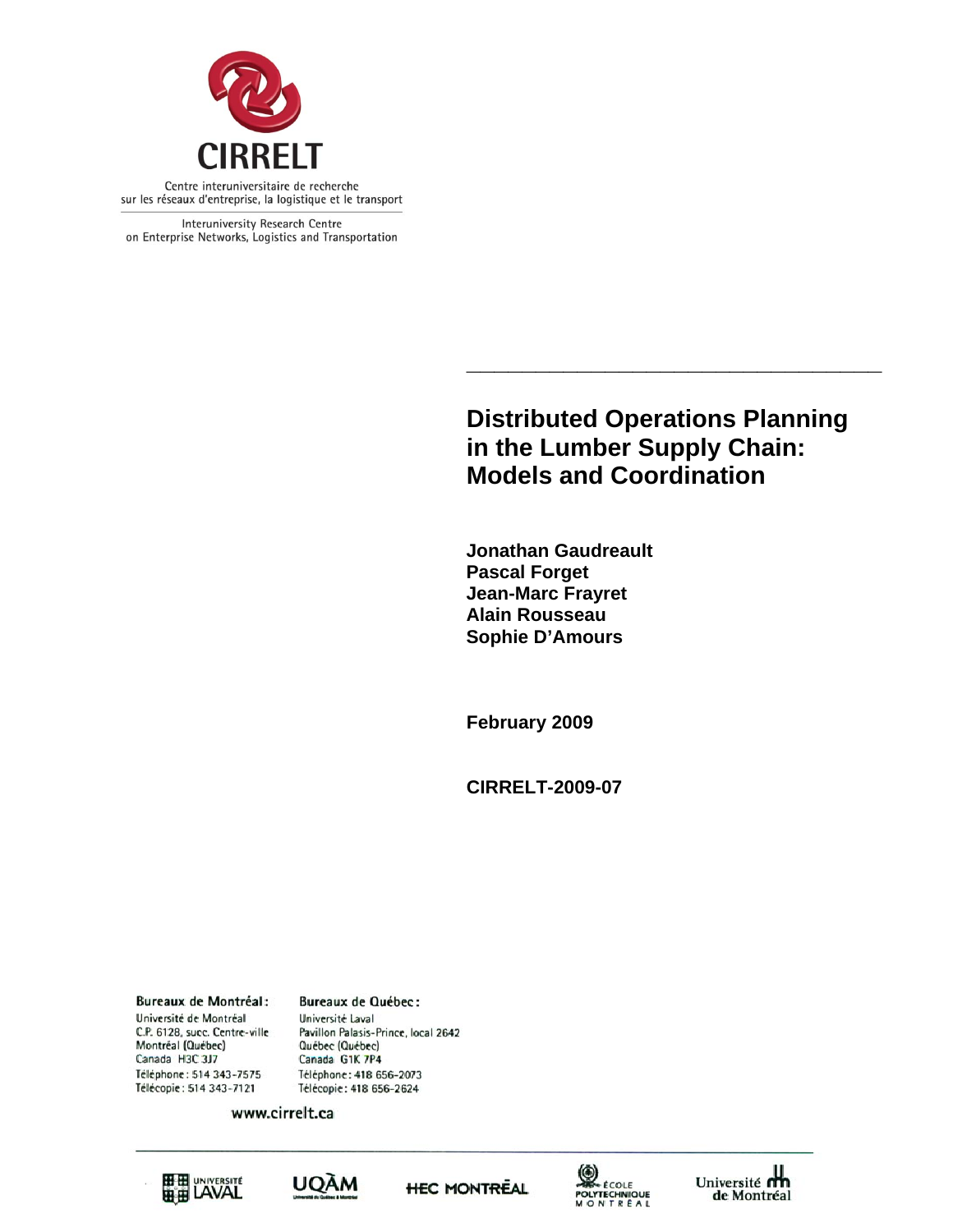

Interuniversity Research Centre on Enterprise Networks, Logistics and Transportation

## **Distributed Operations Planning in the Lumber Supply Chain: Models and Coordination**

**\_\_\_\_\_\_\_\_\_\_\_\_\_\_\_\_\_\_\_\_\_\_\_\_\_\_\_\_\_\_** 

 **Jonathan Gaudreault Pascal Forget Jean-Marc Frayret Alain Rousseau Sophie D'Amours** 

**February 2009** 

**CIRRELT-2009-07** 

**Bureaux de Montréal:** Université de Montréal C.P. 6128, succ. Centre-ville Montréal (Québec) Canada H3C 3J7 Téléphone: 514 343-7575 Télécopie: 514 343-7121

**Bureaux de Québec:** Université Laval Pavillon Palasis-Prince, local 2642 Québec (Québec) Canada G1K 7P4 Téléphone: 418 656-2073 Télécopie: 418 656-2624

www.cirrelt.ca









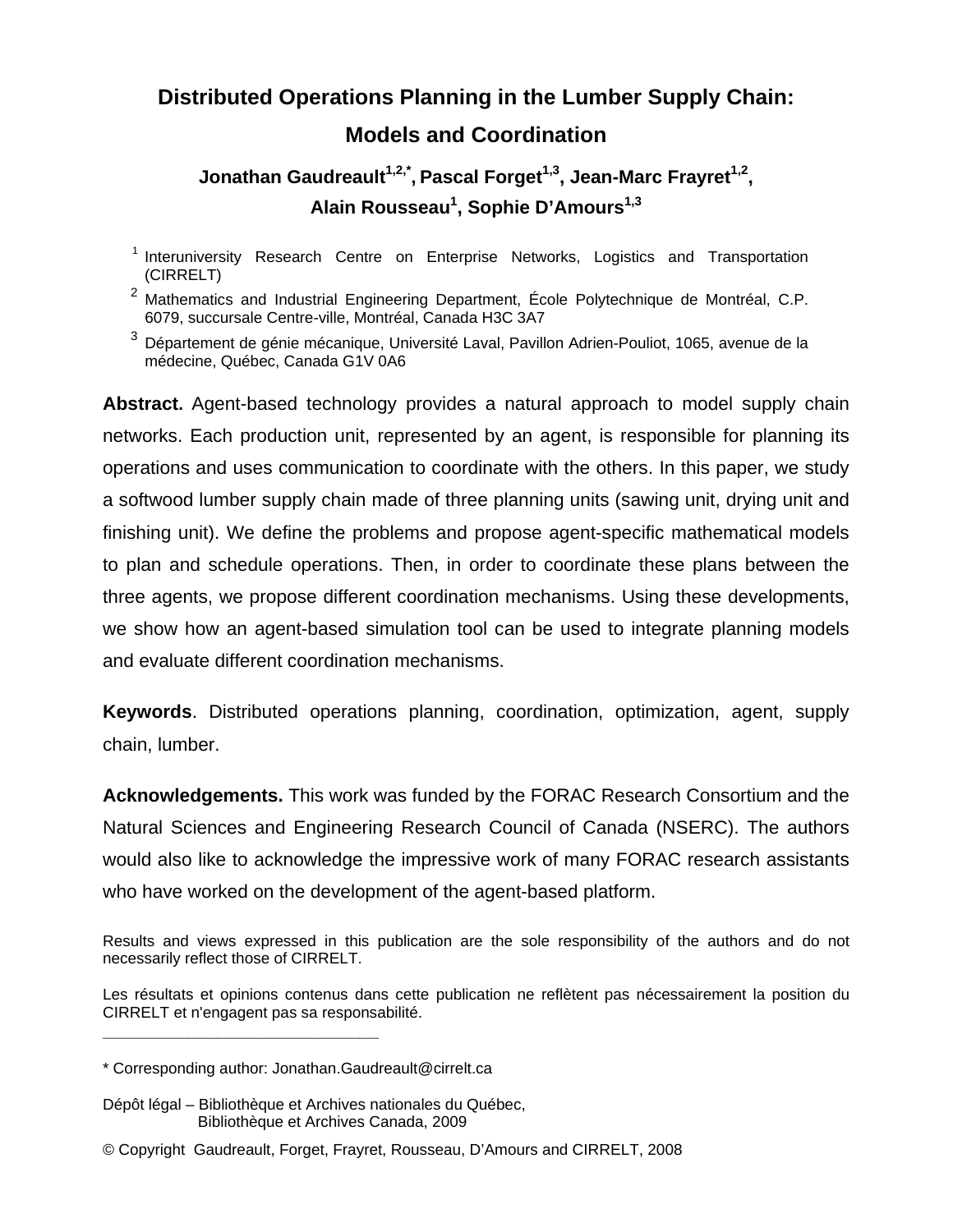# **Distributed Operations Planning in the Lumber Supply Chain: Models and Coordination**

## Jonathan Gaudreault<sup>1,2,\*</sup>, Pascal Forget<sup>1,3</sup>, Jean-Marc Frayret<sup>1,2</sup>, **Alain Rousseau1 , Sophie D'Amours1,3**

- <sup>1</sup> Interuniversity Research Centre on Enterprise Networks, Logistics and Transportation (CIRRELT)
- $2$  Mathematics and Industrial Engineering Department, École Polytechnique de Montréal, C.P. 6079, succursale Centre-ville, Montréal, Canada H3C 3A7
- <sup>3</sup> Département de génie mécanique, Université Laval, Pavillon Adrien-Pouliot, 1065, avenue de la médecine, Québec, Canada G1V 0A6

**Abstract.** Agent-based technology provides a natural approach to model supply chain networks. Each production unit, represented by an agent, is responsible for planning its operations and uses communication to coordinate with the others. In this paper, we study a softwood lumber supply chain made of three planning units (sawing unit, drying unit and finishing unit). We define the problems and propose agent-specific mathematical models to plan and schedule operations. Then, in order to coordinate these plans between the three agents, we propose different coordination mechanisms. Using these developments, we show how an agent-based simulation tool can be used to integrate planning models and evaluate different coordination mechanisms.

**Keywords**. Distributed operations planning, coordination, optimization, agent, supply chain, lumber.

**Acknowledgements.** This work was funded by the FORAC Research Consortium and the Natural Sciences and Engineering Research Council of Canada (NSERC). The authors would also like to acknowledge the impressive work of many FORAC research assistants who have worked on the development of the agent-based platform.

**\_\_\_\_\_\_\_\_\_\_\_\_\_\_\_\_\_\_\_\_\_\_\_\_\_\_\_\_\_**

Dépôt légal – Bibliothèque et Archives nationales du Québec, Bibliothèque et Archives Canada, 2009

Results and views expressed in this publication are the sole responsibility of the authors and do not necessarily reflect those of CIRRELT.

Les résultats et opinions contenus dans cette publication ne reflètent pas nécessairement la position du CIRRELT et n'engagent pas sa responsabilité.

<sup>\*</sup> Corresponding author: Jonathan.Gaudreault@cirrelt.ca

<sup>©</sup> Copyright Gaudreault, Forget, Frayret, Rousseau, D'Amours and CIRRELT, 2008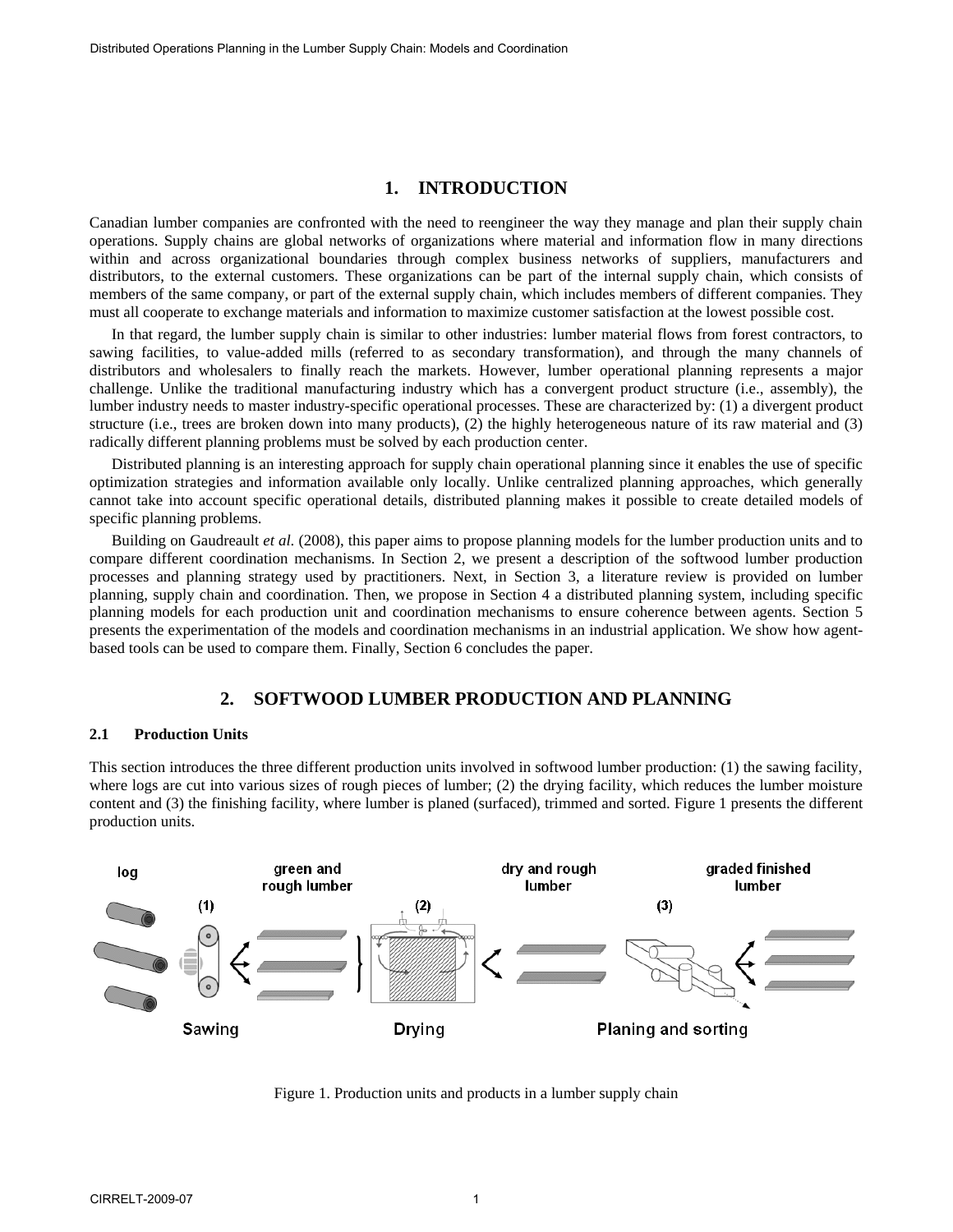## **1. INTRODUCTION**

Canadian lumber companies are confronted with the need to reengineer the way they manage and plan their supply chain operations. Supply chains are global networks of organizations where material and information flow in many directions within and across organizational boundaries through complex business networks of suppliers, manufacturers and distributors, to the external customers. These organizations can be part of the internal supply chain, which consists of members of the same company, or part of the external supply chain, which includes members of different companies. They must all cooperate to exchange materials and information to maximize customer satisfaction at the lowest possible cost.

In that regard, the lumber supply chain is similar to other industries: lumber material flows from forest contractors, to sawing facilities, to value-added mills (referred to as secondary transformation), and through the many channels of distributors and wholesalers to finally reach the markets. However, lumber operational planning represents a major challenge. Unlike the traditional manufacturing industry which has a convergent product structure (i.e., assembly), the lumber industry needs to master industry-specific operational processes. These are characterized by: (1) a divergent product structure (i.e., trees are broken down into many products), (2) the highly heterogeneous nature of its raw material and (3) radically different planning problems must be solved by each production center.

Distributed planning is an interesting approach for supply chain operational planning since it enables the use of specific optimization strategies and information available only locally. Unlike centralized planning approaches, which generally cannot take into account specific operational details, distributed planning makes it possible to create detailed models of specific planning problems.

Building on Gaudreault *et al*. (2008), this paper aims to propose planning models for the lumber production units and to compare different coordination mechanisms. In Section 2, we present a description of the softwood lumber production processes and planning strategy used by practitioners. Next, in Section 3, a literature review is provided on lumber planning, supply chain and coordination. Then, we propose in Section 4 a distributed planning system, including specific planning models for each production unit and coordination mechanisms to ensure coherence between agents. Section 5 presents the experimentation of the models and coordination mechanisms in an industrial application. We show how agentbased tools can be used to compare them. Finally, Section 6 concludes the paper.

## **2. SOFTWOOD LUMBER PRODUCTION AND PLANNING**

### **2.1 Production Units**

This section introduces the three different production units involved in softwood lumber production: (1) the sawing facility, where logs are cut into various sizes of rough pieces of lumber; (2) the drying facility, which reduces the lumber moisture content and (3) the finishing facility, where lumber is planed (surfaced), trimmed and sorted. Figure 1 presents the different production units.



Figure 1. Production units and products in a lumber supply chain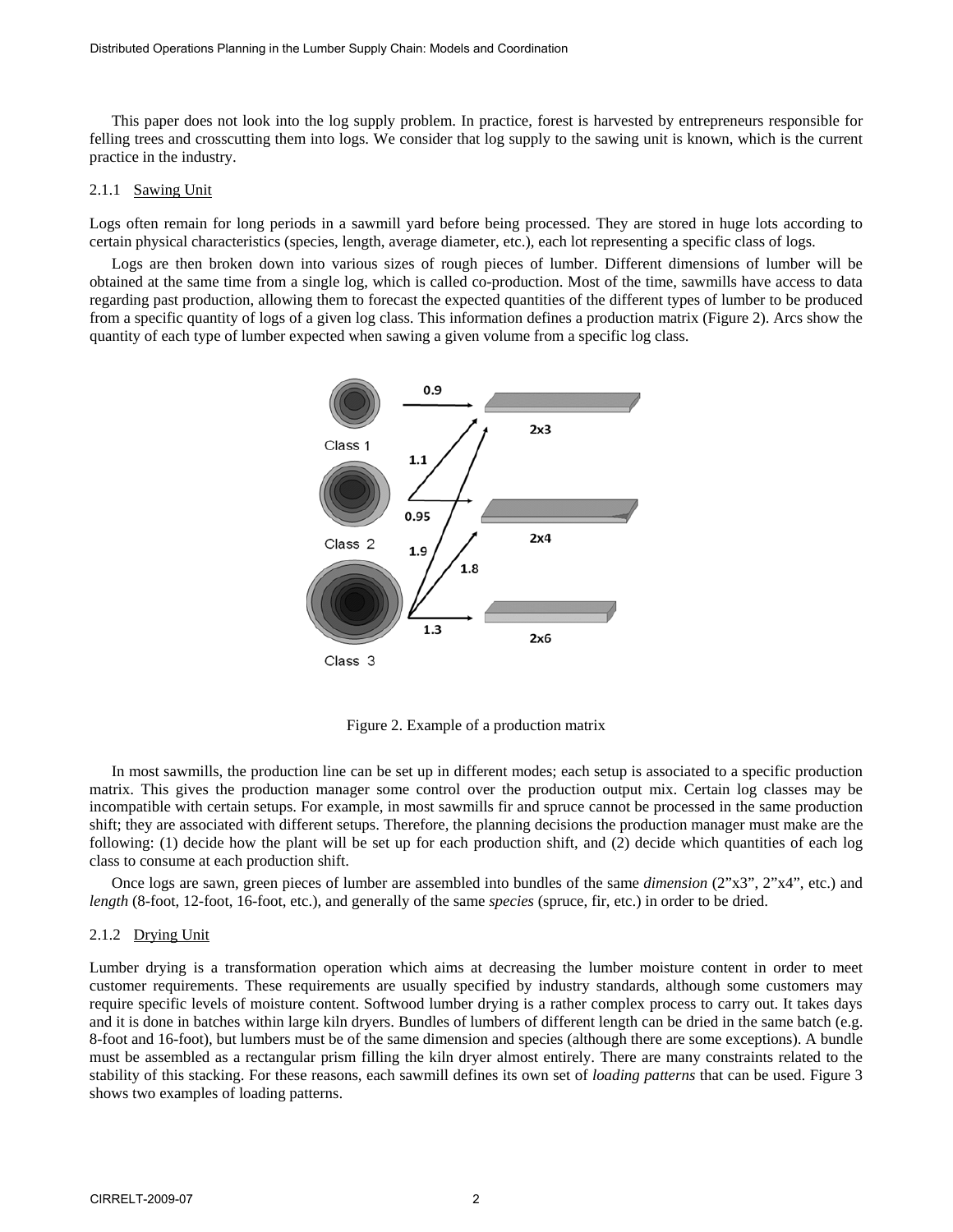This paper does not look into the log supply problem. In practice, forest is harvested by entrepreneurs responsible for felling trees and crosscutting them into logs. We consider that log supply to the sawing unit is known, which is the current practice in the industry.

#### 2.1.1 Sawing Unit

Logs often remain for long periods in a sawmill yard before being processed. They are stored in huge lots according to certain physical characteristics (species, length, average diameter, etc.), each lot representing a specific class of logs.

Logs are then broken down into various sizes of rough pieces of lumber. Different dimensions of lumber will be obtained at the same time from a single log, which is called co-production. Most of the time, sawmills have access to data regarding past production, allowing them to forecast the expected quantities of the different types of lumber to be produced from a specific quantity of logs of a given log class. This information defines a production matrix (Figure 2). Arcs show the quantity of each type of lumber expected when sawing a given volume from a specific log class.



Figure 2. Example of a production matrix

In most sawmills, the production line can be set up in different modes; each setup is associated to a specific production matrix. This gives the production manager some control over the production output mix. Certain log classes may be incompatible with certain setups. For example, in most sawmills fir and spruce cannot be processed in the same production shift; they are associated with different setups. Therefore, the planning decisions the production manager must make are the following: (1) decide how the plant will be set up for each production shift, and (2) decide which quantities of each log class to consume at each production shift.

Once logs are sawn, green pieces of lumber are assembled into bundles of the same *dimension* (2"x3", 2"x4", etc.) and *length* (8-foot, 12-foot, 16-foot, etc.), and generally of the same *species* (spruce, fir, etc.) in order to be dried.

#### 2.1.2 Drying Unit

Lumber drying is a transformation operation which aims at decreasing the lumber moisture content in order to meet customer requirements. These requirements are usually specified by industry standards, although some customers may require specific levels of moisture content. Softwood lumber drying is a rather complex process to carry out. It takes days and it is done in batches within large kiln dryers. Bundles of lumbers of different length can be dried in the same batch (e.g. 8-foot and 16-foot), but lumbers must be of the same dimension and species (although there are some exceptions). A bundle must be assembled as a rectangular prism filling the kiln dryer almost entirely. There are many constraints related to the stability of this stacking. For these reasons, each sawmill defines its own set of *loading patterns* that can be used. Figure 3 shows two examples of loading patterns.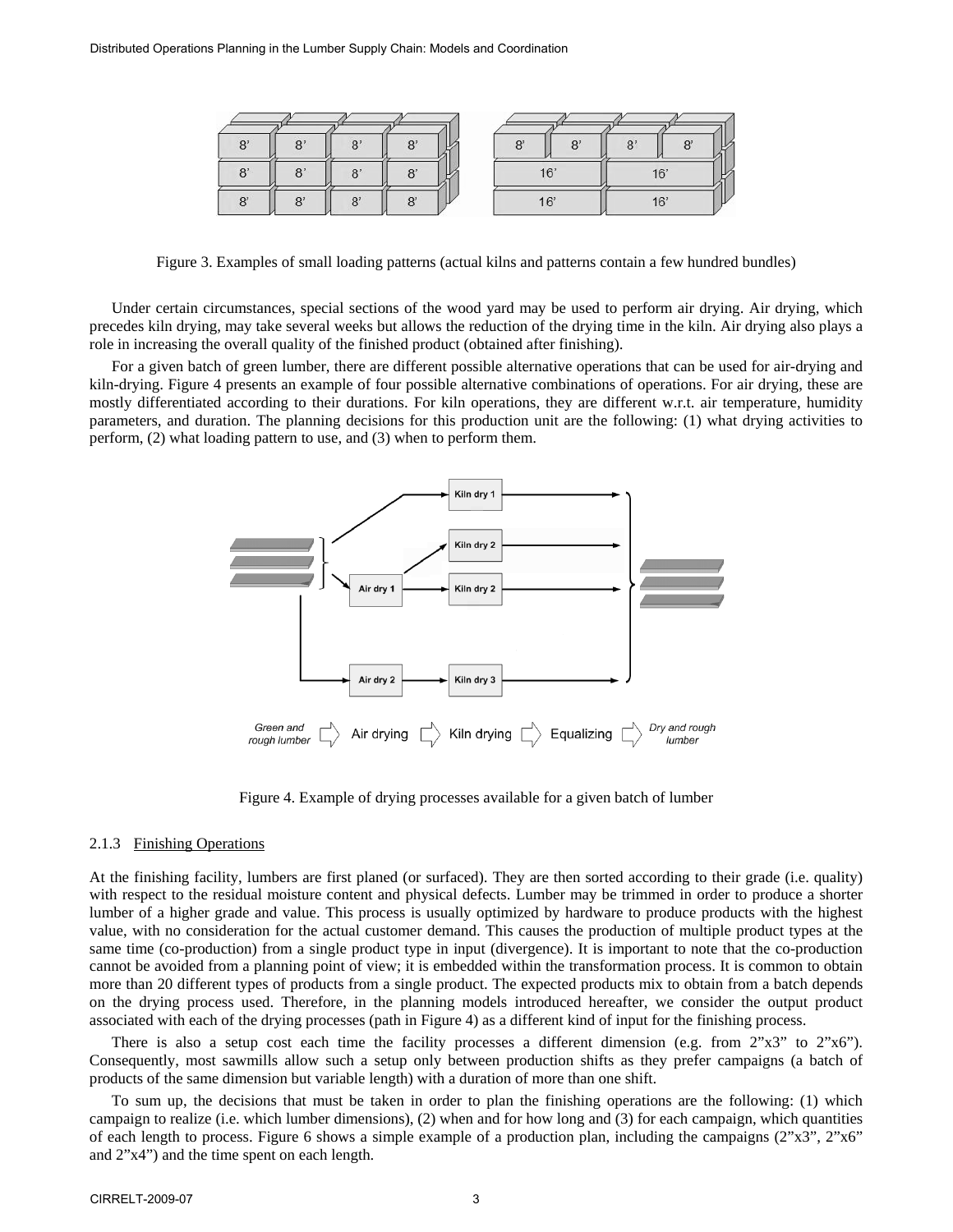| $\mathbf{O}$ | $\Omega$ | $\mathbf{o}$   | C      | O <sub>2</sub><br>$\mathbf{Q}$ | $\Omega$<br>$\Omega$ |
|--------------|----------|----------------|--------|--------------------------------|----------------------|
| $\Omega$     | $\sim$   | $\Omega$       | $\sim$ | $\sim$                         | $\sim$               |
| $\sum$       | $\sim$   | and the second |        |                                | <b>COLLE</b>         |

Figure 3. Examples of small loading patterns (actual kilns and patterns contain a few hundred bundles)

Under certain circumstances, special sections of the wood yard may be used to perform air drying. Air drying, which precedes kiln drying, may take several weeks but allows the reduction of the drying time in the kiln. Air drying also plays a role in increasing the overall quality of the finished product (obtained after finishing).

For a given batch of green lumber, there are different possible alternative operations that can be used for air-drying and kiln-drying. Figure 4 presents an example of four possible alternative combinations of operations. For air drying, these are mostly differentiated according to their durations. For kiln operations, they are different w.r.t. air temperature, humidity parameters, and duration. The planning decisions for this production unit are the following: (1) what drying activities to perform, (2) what loading pattern to use, and (3) when to perform them.



Figure 4. Example of drying processes available for a given batch of lumber

#### 2.1.3 Finishing Operations

At the finishing facility, lumbers are first planed (or surfaced). They are then sorted according to their grade (i.e. quality) with respect to the residual moisture content and physical defects. Lumber may be trimmed in order to produce a shorter lumber of a higher grade and value. This process is usually optimized by hardware to produce products with the highest value, with no consideration for the actual customer demand. This causes the production of multiple product types at the same time (co-production) from a single product type in input (divergence). It is important to note that the co-production cannot be avoided from a planning point of view; it is embedded within the transformation process. It is common to obtain more than 20 different types of products from a single product. The expected products mix to obtain from a batch depends on the drying process used. Therefore, in the planning models introduced hereafter, we consider the output product associated with each of the drying processes (path in Figure 4) as a different kind of input for the finishing process.

There is also a setup cost each time the facility processes a different dimension (e.g. from 2"x3" to 2"x6"). Consequently, most sawmills allow such a setup only between production shifts as they prefer campaigns (a batch of products of the same dimension but variable length) with a duration of more than one shift.

To sum up, the decisions that must be taken in order to plan the finishing operations are the following: (1) which campaign to realize (i.e. which lumber dimensions), (2) when and for how long and (3) for each campaign, which quantities of each length to process. Figure 6 shows a simple example of a production plan, including the campaigns (2"x3", 2"x6" and 2"x4") and the time spent on each length.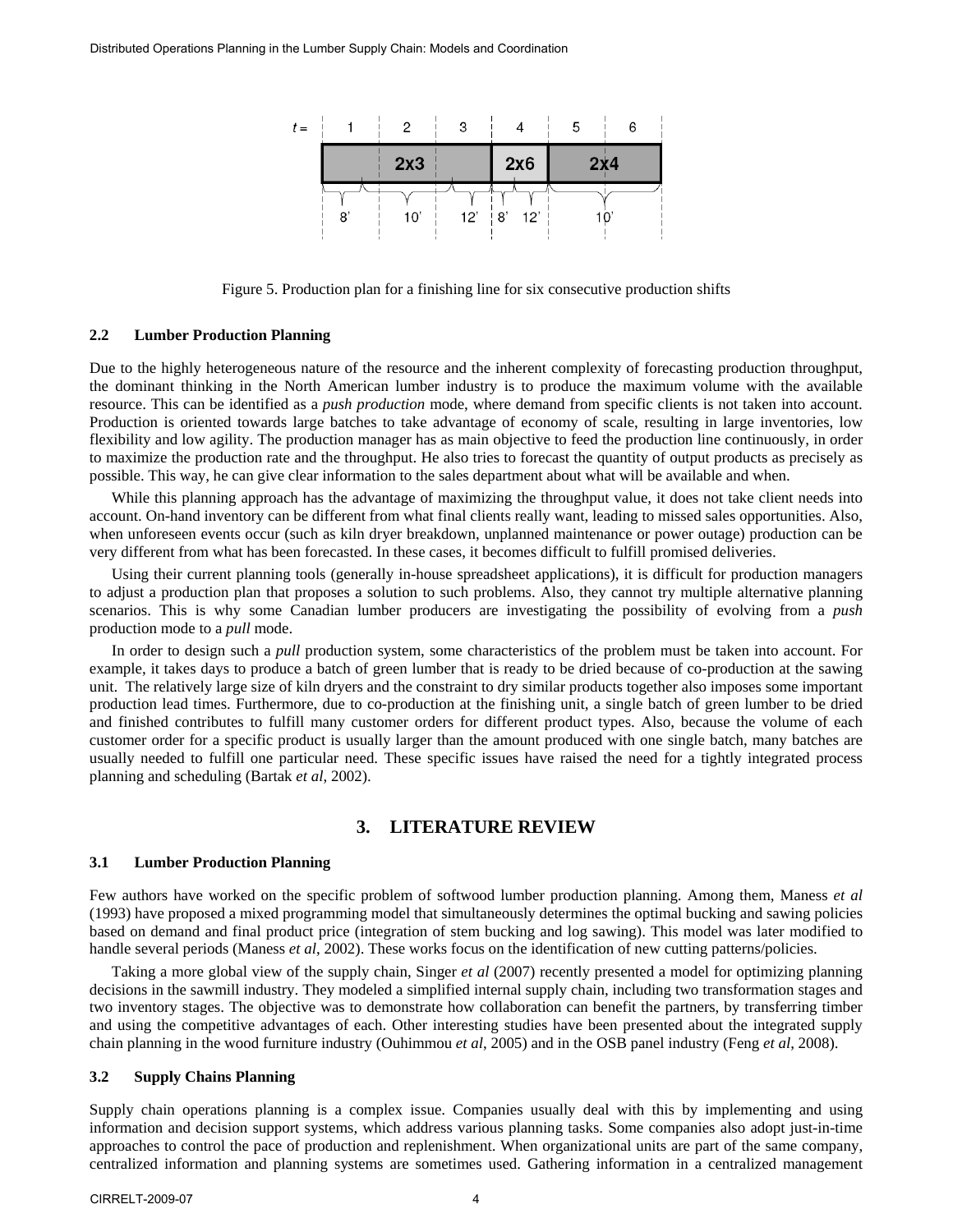| $t =$ |   | 2   | З          |     | 5   |  |
|-------|---|-----|------------|-----|-----|--|
|       |   | 2x3 |            | 2x6 | 2x4 |  |
|       | 8 | 10' | $12'$   8' | 12' |     |  |

Figure 5. Production plan for a finishing line for six consecutive production shifts

#### **2.2 Lumber Production Planning**

Due to the highly heterogeneous nature of the resource and the inherent complexity of forecasting production throughput, the dominant thinking in the North American lumber industry is to produce the maximum volume with the available resource. This can be identified as a *push production* mode, where demand from specific clients is not taken into account. Production is oriented towards large batches to take advantage of economy of scale, resulting in large inventories, low flexibility and low agility. The production manager has as main objective to feed the production line continuously, in order to maximize the production rate and the throughput. He also tries to forecast the quantity of output products as precisely as possible. This way, he can give clear information to the sales department about what will be available and when.

While this planning approach has the advantage of maximizing the throughput value, it does not take client needs into account. On-hand inventory can be different from what final clients really want, leading to missed sales opportunities. Also, when unforeseen events occur (such as kiln dryer breakdown, unplanned maintenance or power outage) production can be very different from what has been forecasted. In these cases, it becomes difficult to fulfill promised deliveries.

Using their current planning tools (generally in-house spreadsheet applications), it is difficult for production managers to adjust a production plan that proposes a solution to such problems. Also, they cannot try multiple alternative planning scenarios. This is why some Canadian lumber producers are investigating the possibility of evolving from a *push* production mode to a *pull* mode.

In order to design such a *pull* production system, some characteristics of the problem must be taken into account. For example, it takes days to produce a batch of green lumber that is ready to be dried because of co-production at the sawing unit. The relatively large size of kiln dryers and the constraint to dry similar products together also imposes some important production lead times. Furthermore, due to co-production at the finishing unit, a single batch of green lumber to be dried and finished contributes to fulfill many customer orders for different product types. Also, because the volume of each customer order for a specific product is usually larger than the amount produced with one single batch, many batches are usually needed to fulfill one particular need. These specific issues have raised the need for a tightly integrated process planning and scheduling (Bartak *et al*, 2002).

## **3. LITERATURE REVIEW**

#### **3.1 Lumber Production Planning**

Few authors have worked on the specific problem of softwood lumber production planning. Among them, Maness *et al* (1993) have proposed a mixed programming model that simultaneously determines the optimal bucking and sawing policies based on demand and final product price (integration of stem bucking and log sawing). This model was later modified to handle several periods (Maness *et al*, 2002). These works focus on the identification of new cutting patterns/policies.

Taking a more global view of the supply chain, Singer *et al* (2007) recently presented a model for optimizing planning decisions in the sawmill industry. They modeled a simplified internal supply chain, including two transformation stages and two inventory stages. The objective was to demonstrate how collaboration can benefit the partners, by transferring timber and using the competitive advantages of each. Other interesting studies have been presented about the integrated supply chain planning in the wood furniture industry (Ouhimmou *et al*, 2005) and in the OSB panel industry (Feng *et al*, 2008).

#### **3.2 Supply Chains Planning**

Supply chain operations planning is a complex issue. Companies usually deal with this by implementing and using information and decision support systems, which address various planning tasks. Some companies also adopt just-in-time approaches to control the pace of production and replenishment. When organizational units are part of the same company, centralized information and planning systems are sometimes used. Gathering information in a centralized management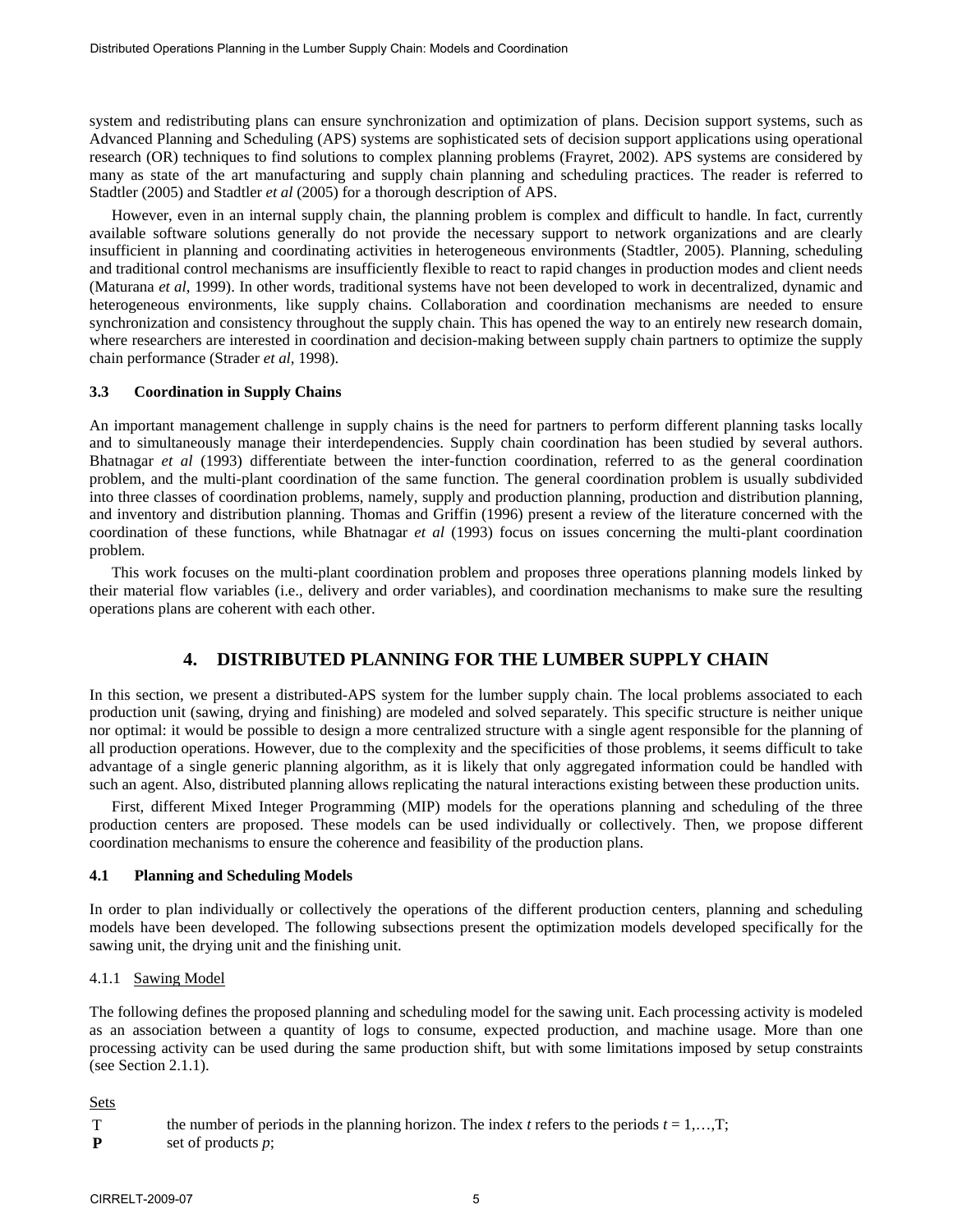system and redistributing plans can ensure synchronization and optimization of plans. Decision support systems, such as Advanced Planning and Scheduling (APS) systems are sophisticated sets of decision support applications using operational research (OR) techniques to find solutions to complex planning problems (Frayret, 2002). APS systems are considered by many as state of the art manufacturing and supply chain planning and scheduling practices. The reader is referred to Stadtler (2005) and Stadtler *et al* (2005) for a thorough description of APS.

However, even in an internal supply chain, the planning problem is complex and difficult to handle. In fact, currently available software solutions generally do not provide the necessary support to network organizations and are clearly insufficient in planning and coordinating activities in heterogeneous environments (Stadtler, 2005). Planning, scheduling and traditional control mechanisms are insufficiently flexible to react to rapid changes in production modes and client needs (Maturana *et al*, 1999). In other words, traditional systems have not been developed to work in decentralized, dynamic and heterogeneous environments, like supply chains. Collaboration and coordination mechanisms are needed to ensure synchronization and consistency throughout the supply chain. This has opened the way to an entirely new research domain, where researchers are interested in coordination and decision-making between supply chain partners to optimize the supply chain performance (Strader *et al*, 1998).

## **3.3 Coordination in Supply Chains**

An important management challenge in supply chains is the need for partners to perform different planning tasks locally and to simultaneously manage their interdependencies. Supply chain coordination has been studied by several authors. Bhatnagar *et al* (1993) differentiate between the inter-function coordination, referred to as the general coordination problem, and the multi-plant coordination of the same function. The general coordination problem is usually subdivided into three classes of coordination problems, namely, supply and production planning, production and distribution planning, and inventory and distribution planning. Thomas and Griffin (1996) present a review of the literature concerned with the coordination of these functions, while Bhatnagar *et al* (1993) focus on issues concerning the multi-plant coordination problem.

This work focuses on the multi-plant coordination problem and proposes three operations planning models linked by their material flow variables (i.e., delivery and order variables), and coordination mechanisms to make sure the resulting operations plans are coherent with each other.

## **4. DISTRIBUTED PLANNING FOR THE LUMBER SUPPLY CHAIN**

In this section, we present a distributed-APS system for the lumber supply chain. The local problems associated to each production unit (sawing, drying and finishing) are modeled and solved separately. This specific structure is neither unique nor optimal: it would be possible to design a more centralized structure with a single agent responsible for the planning of all production operations. However, due to the complexity and the specificities of those problems, it seems difficult to take advantage of a single generic planning algorithm, as it is likely that only aggregated information could be handled with such an agent. Also, distributed planning allows replicating the natural interactions existing between these production units.

First, different Mixed Integer Programming (MIP) models for the operations planning and scheduling of the three production centers are proposed. These models can be used individually or collectively. Then, we propose different coordination mechanisms to ensure the coherence and feasibility of the production plans.

## **4.1 Planning and Scheduling Models**

In order to plan individually or collectively the operations of the different production centers, planning and scheduling models have been developed. The following subsections present the optimization models developed specifically for the sawing unit, the drying unit and the finishing unit.

## 4.1.1 Sawing Model

The following defines the proposed planning and scheduling model for the sawing unit. Each processing activity is modeled as an association between a quantity of logs to consume, expected production, and machine usage. More than one processing activity can be used during the same production shift, but with some limitations imposed by setup constraints (see Section 2.1.1).

Sets

```
T the number of periods in the planning horizon. The index t refers to the periods t = 1, \ldots, T;
P set of products p;
```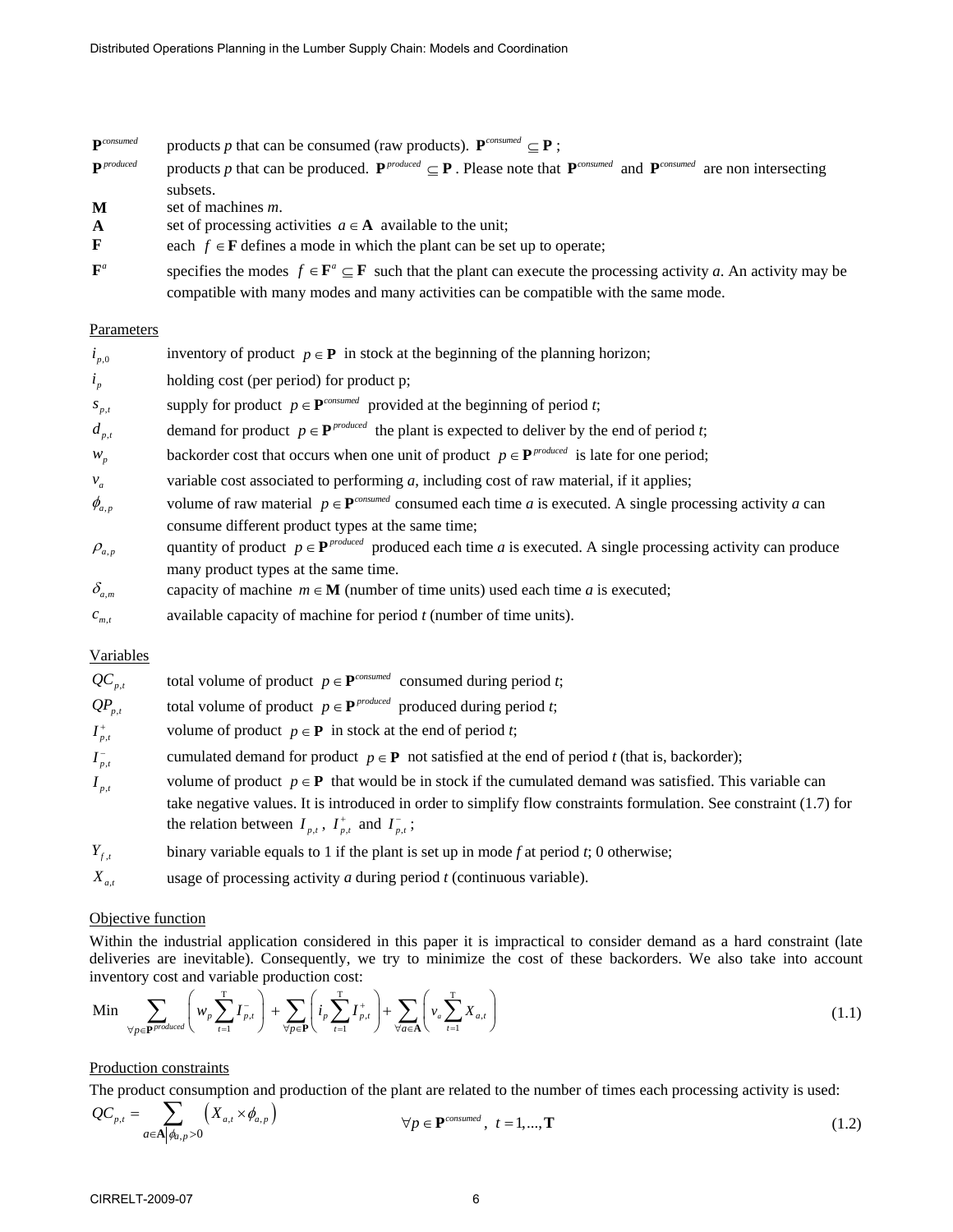| $\mathbf{P}^{consumed}$ | products p that can be consumed (raw products). $\mathbf{P}^{\text{consumed}} \subset \mathbf{P}$ ;                                                           |  |  |  |
|-------------------------|---------------------------------------------------------------------------------------------------------------------------------------------------------------|--|--|--|
| $\mathbf{P}^{produced}$ | products p that can be produced. ${\bf P}^{produced} \subseteq {\bf P}$ . Please note that ${\bf P}^{consumed}$ and ${\bf P}^{consumed}$ are non intersecting |  |  |  |
|                         | subsets.                                                                                                                                                      |  |  |  |
| M                       | set of machines m.                                                                                                                                            |  |  |  |
| $\mathbf{A}$            | set of processing activities $a \in A$ available to the unit;                                                                                                 |  |  |  |
| F                       | each $f \in \mathbf{F}$ defines a mode in which the plant can be set up to operate;                                                                           |  |  |  |
| ${\bf F}^a$             | specifies the modes $f \in \mathbf{F}^a \subseteq \mathbf{F}$ such that the plant can execute the processing activity a. An activity may be                   |  |  |  |
|                         | compatible with many modes and many activities can be compatible with the same mode.                                                                          |  |  |  |

#### **Parameters**

| $i_{p,0}$      | inventory of product $p \in \mathbf{P}$ in stock at the beginning of the planning horizon;                                   |
|----------------|------------------------------------------------------------------------------------------------------------------------------|
| $i_p$          | holding cost (per period) for product p;                                                                                     |
| $S_{p,t}$      | supply for product $p \in \mathbf{P}^{consumed}$ provided at the beginning of period t;                                      |
| $d_{p,t}$      | demand for product $p \in \mathbf{P}^{produced}$ the plant is expected to deliver by the end of period t;                    |
| $W_p$          | backorder cost that occurs when one unit of product $p \in \mathbf{P}^{produced}$ is late for one period;                    |
| $v_a$          | variable cost associated to performing $a$ , including cost of raw material, if it applies;                                  |
| $\phi_{a,p}$   | volume of raw material $p \in \mathbf{P}^{consumed}$ consumed each time a is executed. A single processing activity a can    |
|                | consume different product types at the same time;                                                                            |
| $\rho_{a,p}$   | quantity of product $p \in \mathbf{P}^{produced}$ produced each time a is executed. A single processing activity can produce |
|                | many product types at the same time.                                                                                         |
| $\delta_{a,m}$ | capacity of machine $m \in M$ (number of time units) used each time a is executed;                                           |

 $c_{m,t}$  available capacity of machine for period *t* (number of time units).

#### **Variables**

| $QC_{p,t}$  | total volume of product $p \in \mathbf{P}^{constant}$ consumed during period t;                                      |
|-------------|----------------------------------------------------------------------------------------------------------------------|
| $QP_{p,t}$  | total volume of product $p \in \mathbf{P}^{produced}$ produced during period t;                                      |
| $I_{p,t}^+$ | volume of product $p \in \mathbf{P}$ in stock at the end of period t;                                                |
| $I_{p,t}^-$ | cumulated demand for product $p \in \mathbf{P}$ not satisfied at the end of period t (that is, backorder);           |
| $I_{p,t}$   | volume of product $p \in \mathbf{P}$ that would be in stock if the cumulated demand was satisfied. This variable can |
|             | take negative values. It is introduced in order to simplify flow constraints formulation. See constraint $(1.7)$ for |
|             | the relation between $I_{p,t}$ , $I_{p,t}^{+}$ and $I_{p,t}^{-}$ ;                                                   |
| $Y_{f,t}$   | binary variable equals to 1 if the plant is set up in mode $f$ at period $t$ ; 0 otherwise;                          |

 $X_{a,t}$  usage of processing activity *a* during period *t* (continuous variable).

#### Objective function

Within the industrial application considered in this paper it is impractical to consider demand as a hard constraint (late deliveries are inevitable). Consequently, we try to minimize the cost of these backorders. We also take into account inventory cost and variable production cost:

$$
\text{Min} \sum_{\forall p \in \mathbf{P}^{produced}} \left( w_p \sum_{t=1}^T I_{p,t}^- \right) + \sum_{\forall p \in \mathbf{P}} \left( i_p \sum_{t=1}^T I_{p,t}^+ \right) + \sum_{\forall a \in \mathbf{A}} \left( v_a \sum_{t=1}^T X_{a,t} \right) \tag{1.1}
$$

## Production constraints

The product consumption and production of the plant are related to the number of times each processing activity is used:

$$
QC_{p,t} = \sum_{a \in A \mid \phi_{a,p} > 0} \left( X_{a,t} \times \phi_{a,p} \right) \qquad \forall p \in \mathbf{P}^{consum}, \ t = 1,..., \mathbf{T}
$$
 (1.2)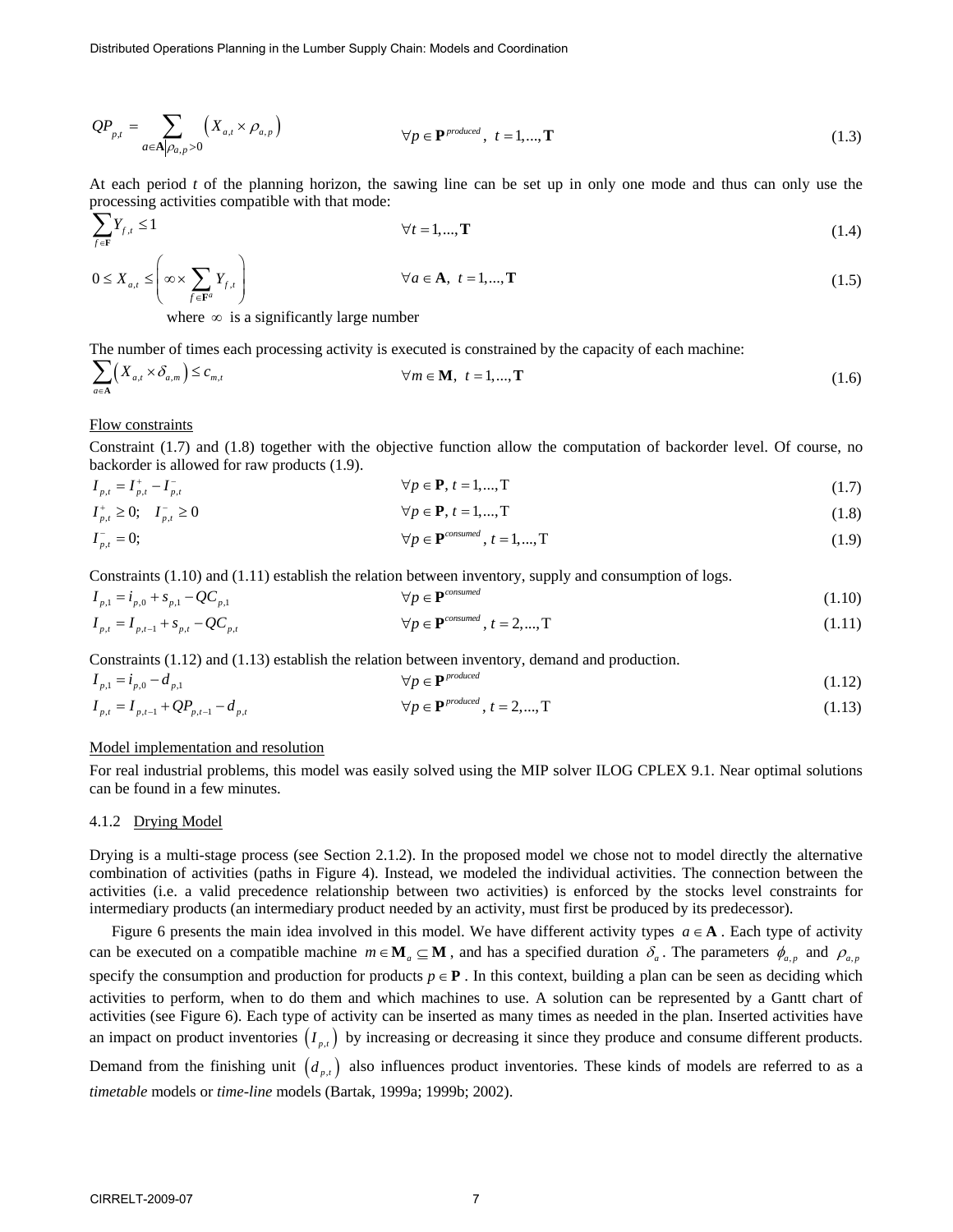Distributed Operations Planning in the Lumber Supply Chain: Models and Coordination

$$
QP_{p,t} = \sum_{a \in \mathbf{A} | \rho_{a,p} > 0} \left( X_{a,t} \times \rho_{a,p} \right) \qquad \qquad \forall p \in \mathbf{P}^{\text{produced}}, \ t = 1, \dots, \mathbf{T} \tag{1.3}
$$

At each period *t* of the planning horizon, the sawing line can be set up in only one mode and thus can only use the processing activities compatible with that mode:

$$
\sum_{f \in \mathbf{F}} Y_{f,t} \le 1 \qquad \forall t = 1,..., \mathbf{T}
$$
\n
$$
0 \le X_{a,t} \le \left(\infty \times \sum_{f \in \mathbf{F}^a} Y_{f,t}\right) \qquad \forall a \in \mathbf{A}, \ t = 1,..., \mathbf{T}
$$
\n
$$
(1.4)
$$
\n
$$
(1.5)
$$

where  $\infty$  is a significantly large number

The number of times each processing activity is executed is constrained by the capacity of each machine:

$$
\sum_{a \in \mathbf{A}} \left( X_{a,t} \times \delta_{a,m} \right) \leq c_{m,t} \qquad \qquad \forall m \in \mathbf{M}, \ t = 1,...,\mathbf{T} \tag{1.6}
$$

#### Flow constraints

Constraint (1.7) and (1.8) together with the objective function allow the computation of backorder level. Of course, no backorder is allowed for raw products (1.9).

$$
I_{p,t} = I_{p,t}^+ - I_{p,t}^- \tag{1.7}
$$

$$
I_{p,t}^{+} \ge 0; \quad I_{p,t}^{-} \ge 0 \qquad \qquad \forall p \in \mathbf{P}, t = 1,...,T \qquad (1.8)
$$

$$
I_{p,t}^- = 0; \qquad \forall p \in \mathbf{P}^{consumed}, t = 1,...,T
$$
 (1.9)

Constraints (1.10) and (1.11) establish the relation between inventory, supply and consumption of logs.

$$
I_{p,1} = i_{p,0} + s_{p,1} - QC_{p,1} \tag{1.10}
$$

$$
I_{p,t} = I_{p,t-1} + s_{p,t} - QC_{p,t}
$$
 (1.11)

Constraints (1.12) and (1.13) establish the relation between inventory, demand and production.

$$
I_{p,1} = i_{p,0} - d_{p,1} \tag{1.12}
$$

$$
I_{p,t} = I_{p,t-1} + QP_{p,t-1} - d_{p,t} \qquad \forall p \in \mathbf{P}^{produced}, t = 2,...,T
$$
\n(1.13)

#### Model implementation and resolution

For real industrial problems, this model was easily solved using the MIP solver ILOG CPLEX 9.1. Near optimal solutions can be found in a few minutes.

#### 4.1.2 Drying Model

Drying is a multi-stage process (see Section 2.1.2). In the proposed model we chose not to model directly the alternative combination of activities (paths in Figure 4). Instead, we modeled the individual activities. The connection between the activities (i.e. a valid precedence relationship between two activities) is enforced by the stocks level constraints for intermediary products (an intermediary product needed by an activity, must first be produced by its predecessor).

Figure 6 presents the main idea involved in this model. We have different activity types  $a \in A$ . Each type of activity can be executed on a compatible machine  $m \in \mathbf{M}_a \subseteq \mathbf{M}$ , and has a specified duration  $\delta_a$ . The parameters  $\phi_{a,p}$  and  $\rho_{a,p}$ specify the consumption and production for products  $p \in \mathbf{P}$ . In this context, building a plan can be seen as deciding which activities to perform, when to do them and which machines to use. A solution can be represented by a Gantt chart of activities (see Figure 6). Each type of activity can be inserted as many times as needed in the plan. Inserted activities have an impact on product inventories  $(I_{p,t})$  by increasing or decreasing it since they produce and consume different products. Demand from the finishing unit  $(d_{p,t})$  also influences product inventories. These kinds of models are referred to as a *timetable* models or *time-line* models (Bartak, 1999a; 1999b; 2002).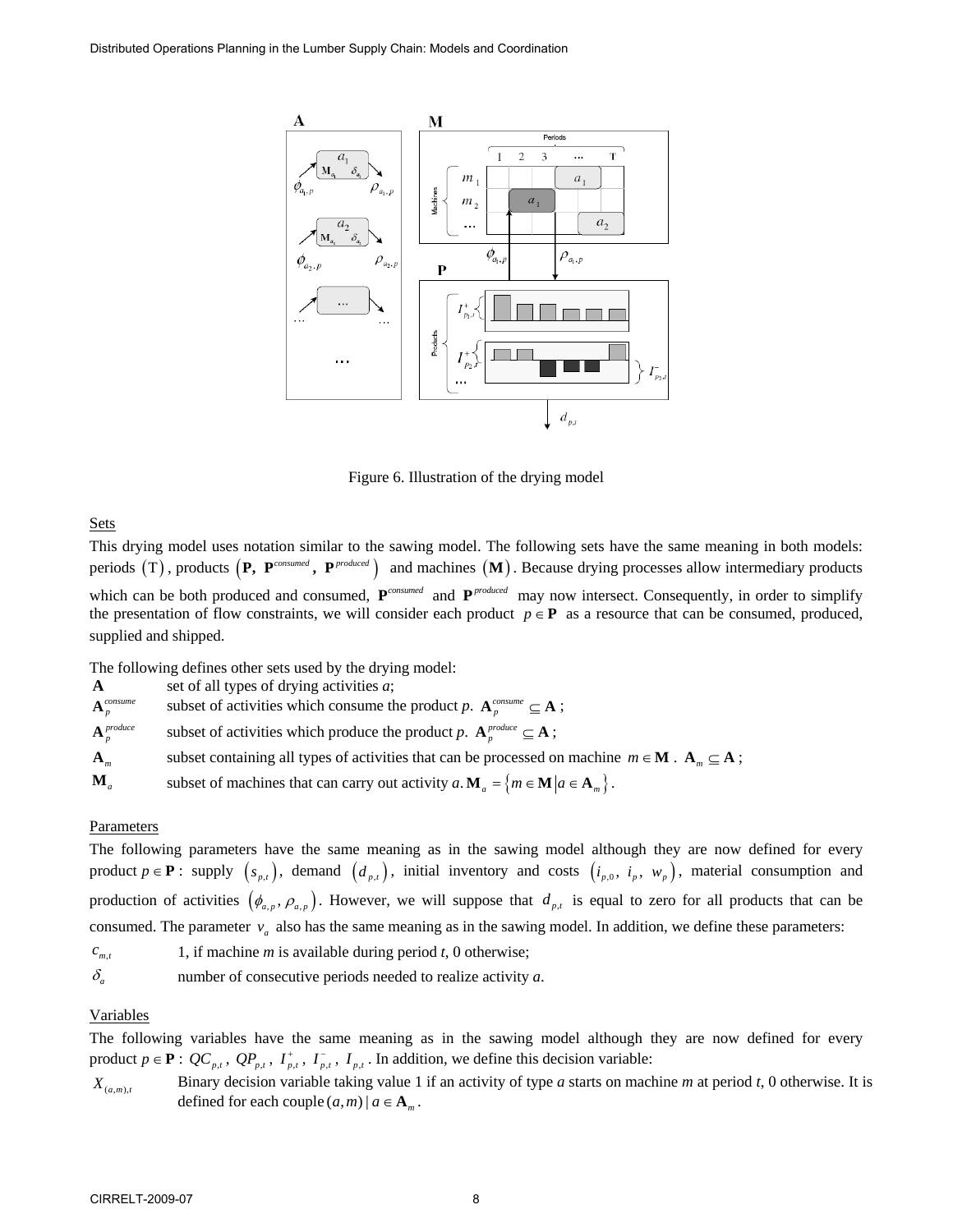

Figure 6. Illustration of the drying model

## Sets

This drying model uses notation similar to the sawing model. The following sets have the same meaning in both models: periods (T), products (P, P<sup>consumed</sup>, P<sup>produced</sup>) and machines (M). Because drying processes allow intermediary products which can be both produced and consumed,  $P^{constant}$  and  $P^{product}$  may now intersect. Consequently, in order to simplify the presentation of flow constraints, we will consider each product  $p \in \mathbf{P}$  as a resource that can be consumed, produced, supplied and shipped.

The following defines other sets used by the drying model:

**A** set of all types of drying activities *a*;  $A_p^{\text{cosusume}}$  subset of activities which consume the product *p*.  $A_p^{\text{cosusume}} \subseteq A$ ;  $A_p^{produce}$  subset of activities which produce the product *p*.  $A_p^{produce} \subseteq A$ ; **A**<sub>*m*</sub> subset containing all types of activities that can be processed on machine *m* ∈ **M** .  $A_m \subseteq A$ ; **M**<sub>*a*</sub> subset of machines that can carry out activity  $a \cdot \mathbf{M}_a = \{m \in \mathbf{M} | a \in \mathbf{A}_m\}$ .

## Parameters

The following parameters have the same meaning as in the sawing model although they are now defined for every product  $p \in \mathbf{P}$ : supply  $(s_{p,t})$ , demand  $(d_{p,t})$ , initial inventory and costs  $(i_{p,0}, i_p, w_p)$ , material consumption and production of activities  $(\phi_{a,p}, \rho_{a,p})$ . However, we will suppose that  $d_{p,t}$  is equal to zero for all products that can be consumed. The parameter  $v_a$  also has the same meaning as in the sawing model. In addition, we define these parameters:

 $c_{m,t}$  1, if machine *m* is available during period *t*, 0 otherwise;  $\delta_a$  number of consecutive periods needed to realize activity *a*.

# Variables

The following variables have the same meaning as in the sawing model although they are now defined for every product  $p \in \mathbf{P}$ :  $QC_{p,t}$ ,  $QP_{p,t}$ ,  $I_{p,t}^+$ ,  $I_{p,t}^-$ ,  $I_{p,t}^-$ . In addition, we define this decision variable:

*X*<sub>(*a,m*),*t*</sub> Binary decision variable taking value 1 if an activity of type *a* starts on machine *m* at period *t*, 0 otherwise. It is defined for each couple  $(a, m) | a \in A_m$ .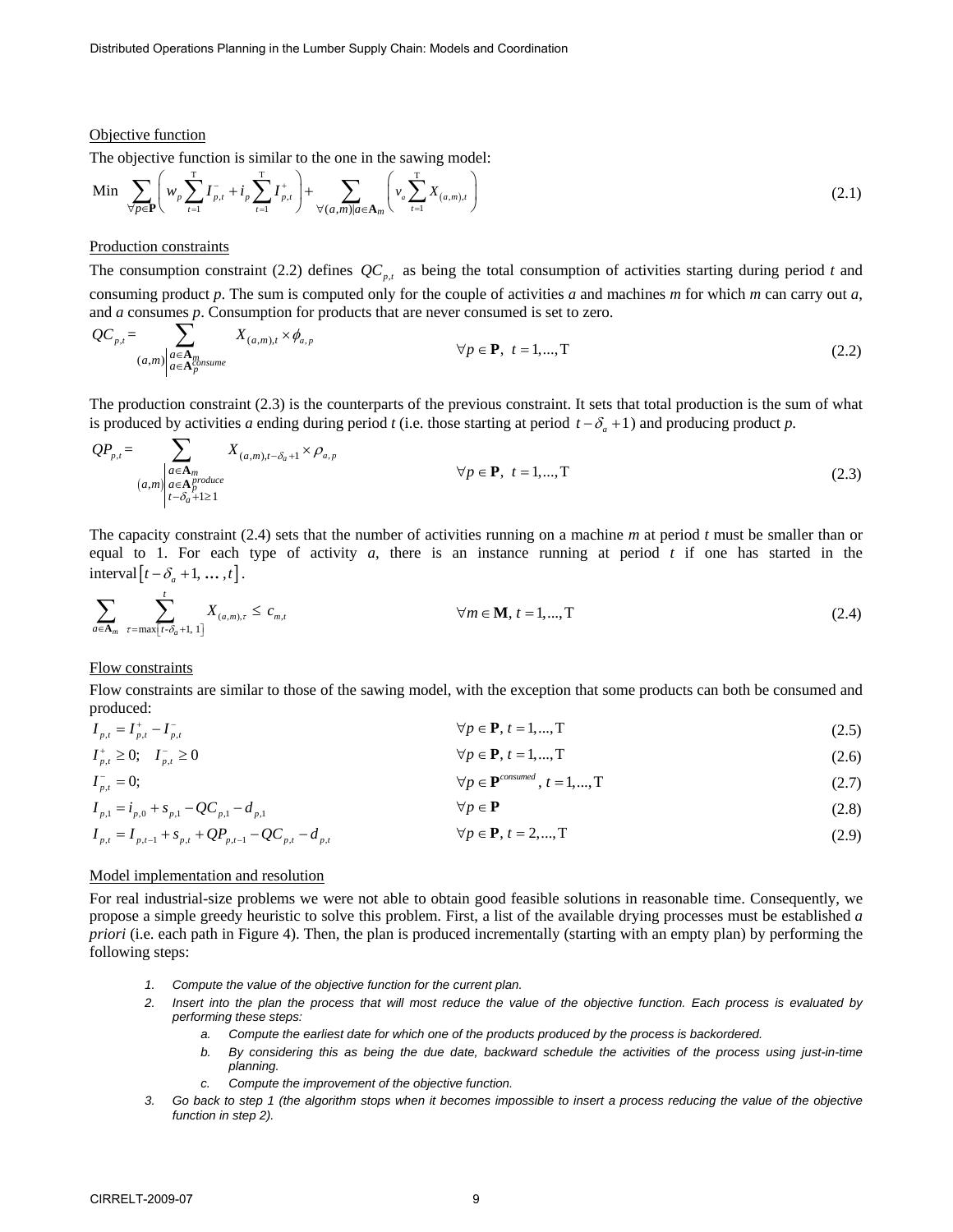#### Objective function

The objective function is similar to the one in the sawing model:

Min 
$$
\sum_{\forall p \in \mathbf{P}} \left( w_p \sum_{t=1}^T I_{p,t}^- + i_p \sum_{t=1}^T I_{p,t}^+ \right) + \sum_{\forall (a,m) | a \in \mathbf{A}_m} \left( v_a \sum_{t=1}^T X_{(a,m),t} \right)
$$
(2.1)

#### Production constraints

The consumption constraint (2.2) defines  $QC_{p,t}$  as being the total consumption of activities starting during period *t* and consuming product *p*. The sum is computed only for the couple of activities *a* and machines *m* for which *m* can carry out *a*, and *a* consumes *p*. Consumption for products that are never consumed is set to zero.

$$
QC_{p,t} = \sum_{\substack{a \in \mathbf{A}_m \\ (a,m) \mid a \in \mathbf{A}_p^{consum}}} X_{(a,m),t} \times \phi_{a,p} \qquad \forall p \in \mathbf{P}, \ t = 1,...,T
$$
\n(2.2)

The production constraint (2.3) is the counterparts of the previous constraint. It sets that total production is the sum of what is produced by activities *a* ending during period *t* (i.e. those starting at period  $t - \delta_a + 1$ ) and producing product *p*.

$$
QP_{p,t} = \sum_{\substack{a \in \mathbf{A}_m \\ (a,m) \mid a \in \mathbf{A}_p^{produce} \\ t - \delta_a + 1 \ge 1}} X_{(a,m),t - \delta_a + 1} \times \rho_{a,p} \qquad \forall p \in \mathbf{P}, \ t = 1,...,T
$$
\n(2.3)

The capacity constraint (2.4) sets that the number of activities running on a machine *m* at period *t* must be smaller than or equal to 1. For each type of activity  $a$ , there is an instance running at period  $t$  if one has started in the interval  $[t - \delta_a + 1, \dots, t]$ .

$$
\sum_{a \in \mathbf{A}_m} \sum_{\tau = \max[r - \delta_a + 1, 1]}^{t} X_{(a, m), \tau} \le c_{m, t} \qquad \forall m \in \mathbf{M}, t = 1, ..., T
$$
\n(2.4)

Flow constraints

Flow constraints are similar to those of the sawing model, with the exception that some products can both be consumed and produced:

$$
I_{p,t} = I_{p,t}^+ - I_{p,t}^- \tag{2.5}
$$

$$
I_{p,t}^{+} \ge 0; \quad I_{p,t}^{-} \ge 0 \qquad \qquad \forall p \in \mathbf{P}, t = 1,...,T \qquad (2.6)
$$

$$
I_{p,t}^- = 0; \qquad \qquad \forall p \in \mathbf{P}^{\text{consumed}}, \ t = 1, \dots, T \tag{2.7}
$$

$$
I_{p,1} = i_{p,0} + s_{p,1} - QC_{p,1} - d_{p,1} \qquad \forall p \in \mathbf{P}
$$
\n
$$
\mathbf{P} = \mathbf{P} \tag{2.8}
$$

$$
I_{p,t} = I_{p,t-1} + s_{p,t} + QP_{p,t-1} - QC_{p,t} - d_{p,t} \qquad \forall p \in \mathbf{P}, t = 2,...,T
$$
\n(2.9)

#### Model implementation and resolution

For real industrial-size problems we were not able to obtain good feasible solutions in reasonable time. Consequently, we propose a simple greedy heuristic to solve this problem. First, a list of the available drying processes must be established *a priori* (i.e. each path in Figure 4). Then, the plan is produced incrementally (starting with an empty plan) by performing the following steps:

- *1. Compute the value of the objective function for the current plan.*
- *2. Insert into the plan the process that will most reduce the value of the objective function. Each process is evaluated by performing these steps:* 
	- *a. Compute the earliest date for which one of the products produced by the process is backordered.*
	- *b. By considering this as being the due date, backward schedule the activities of the process using just-in-time planning.*
	- *c. Compute the improvement of the objective function.*
- *3. Go back to step 1 (the algorithm stops when it becomes impossible to insert a process reducing the value of the objective function in step 2).*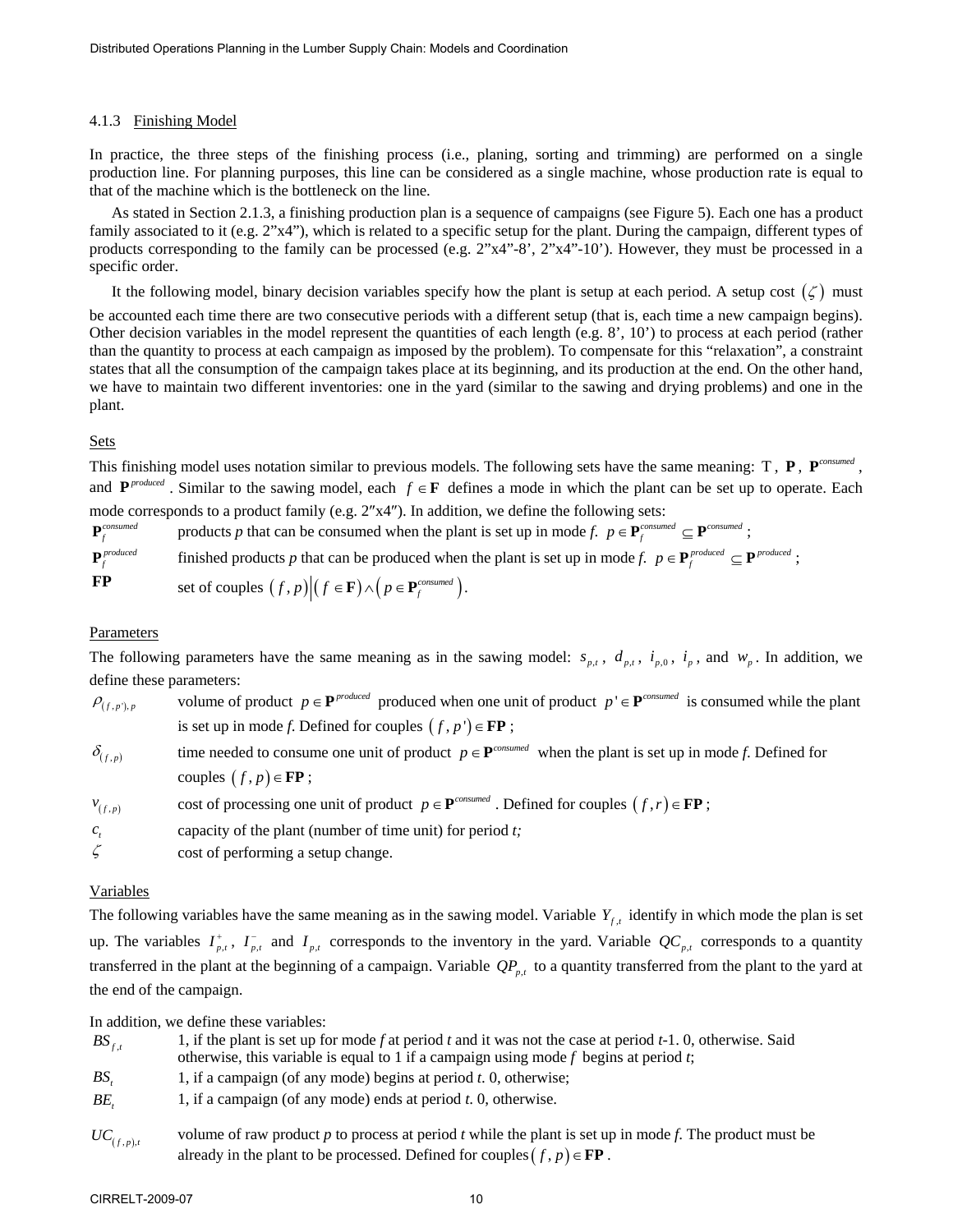#### 4.1.3 Finishing Model

In practice, the three steps of the finishing process (i.e., planing, sorting and trimming) are performed on a single production line. For planning purposes, this line can be considered as a single machine, whose production rate is equal to that of the machine which is the bottleneck on the line.

As stated in Section 2.1.3, a finishing production plan is a sequence of campaigns (see Figure 5). Each one has a product family associated to it (e.g. 2"x4"), which is related to a specific setup for the plant. During the campaign, different types of products corresponding to the family can be processed (e.g. 2"x4"-8', 2"x4"-10'). However, they must be processed in a specific order.

It the following model, binary decision variables specify how the plant is setup at each period. A setup cost  $(\zeta)$  must

be accounted each time there are two consecutive periods with a different setup (that is, each time a new campaign begins). Other decision variables in the model represent the quantities of each length (e.g. 8', 10') to process at each period (rather than the quantity to process at each campaign as imposed by the problem). To compensate for this "relaxation", a constraint states that all the consumption of the campaign takes place at its beginning, and its production at the end. On the other hand, we have to maintain two different inventories: one in the yard (similar to the sawing and drying problems) and one in the plant.

#### Sets

This finishing model uses notation similar to previous models. The following sets have the same meaning: T, P, P<sup>consumed</sup> and *P*<sup>produced</sup>. Similar to the sawing model, each  $f \in \mathbf{F}$  defines a mode in which the plant can be set up to operate. Each mode corresponds to a product family (e.g.  $2''x4'$ ). In addition, we define the following sets:

 ${\bf P}^{\text{consumed}}_f$  products *p* that can be consumed when the plant is set up in mode *f*.  $p \in {\bf P}^{\text{consumed}}_f$   $\subseteq {\bf P}^{\text{consumed}}$ ;

 ${\bf P}_f^{produced}$  finished products *p* that can be produced when the plant is set up in mode *f*.  $p \in {\bf P}_f^{produced} \subseteq {\bf P}_f^{produced}$ ;

**FP** set of couples  $(f, p) | (f \in \mathbf{F}) \land (p \in \mathbf{P}_f^{\text{consumed}}).$ 

#### **Parameters**

The following parameters have the same meaning as in the sawing model:  $s_{p,t}$ ,  $d_{p,t}$ ,  $i_{p,0}$ ,  $i_p$ , and  $w_p$ . In addition, we define these parameters:

 $P_{(f, p'), p}$  volume of product  $p \in \mathbf{P}^{produced}$  produced when one unit of product  $p' \in \mathbf{P}^{consumed}$  is consumed while the plant is set up in mode *f*. Defined for couples  $(f, p') \in \mathbf{FP}$ ;

- $\delta_{(f,p)}$  time needed to consume one unit of product  $p \in \mathbf{P}^{constant}$  when the plant is set up in mode *f*. Defined for couples  $(f, p) \in \mathbf{FP}$ ;
- $v_{(f,p)}$  cost of processing one unit of product  $p \in \mathbf{P}^{constant}$ . Defined for couples  $(f, r) \in \mathbf{FP}$ ;
- *<sup>t</sup> c* capacity of the plant (number of time unit) for period *t;*
- $\zeta$  cost of performing a setup change.

#### Variables

The following variables have the same meaning as in the sawing model. Variable  $Y_{f,t}$  identify in which mode the plan is set up. The variables  $I_{p,t}^+$ ,  $I_{p,t}^-$  and  $I_{p,t}$  corresponds to the inventory in the yard. Variable  $QC_{p,t}$  corresponds to a quantity transferred in the plant at the beginning of a campaign. Variable  $QP_{p,t}$  to a quantity transferred from the plant to the yard at the end of the campaign.

In addition, we define these variables:

- *BS<sub>fx</sub>* 1, if the plant is set up for mode *f* at period *t* and it was not the case at period *t*-1. 0, otherwise. Said otherwise, this variable is equal to 1 if a campaign using mode *f* begins at period *t*;
- *BS<sub>t</sub>* 1, if a campaign (of any mode) begins at period *t*. 0, otherwise;
- *BE<sub>t</sub>* 1, if a campaign (of any mode) ends at period *t*. 0, otherwise.
- $UC_{(f,p)_{\mathcal{A}}}$  volume of raw product *p* to process at period *t* while the plant is set up in mode *f*. The product must be already in the plant to be processed. Defined for couples  $(f, p) \in \mathbf{FP}$ .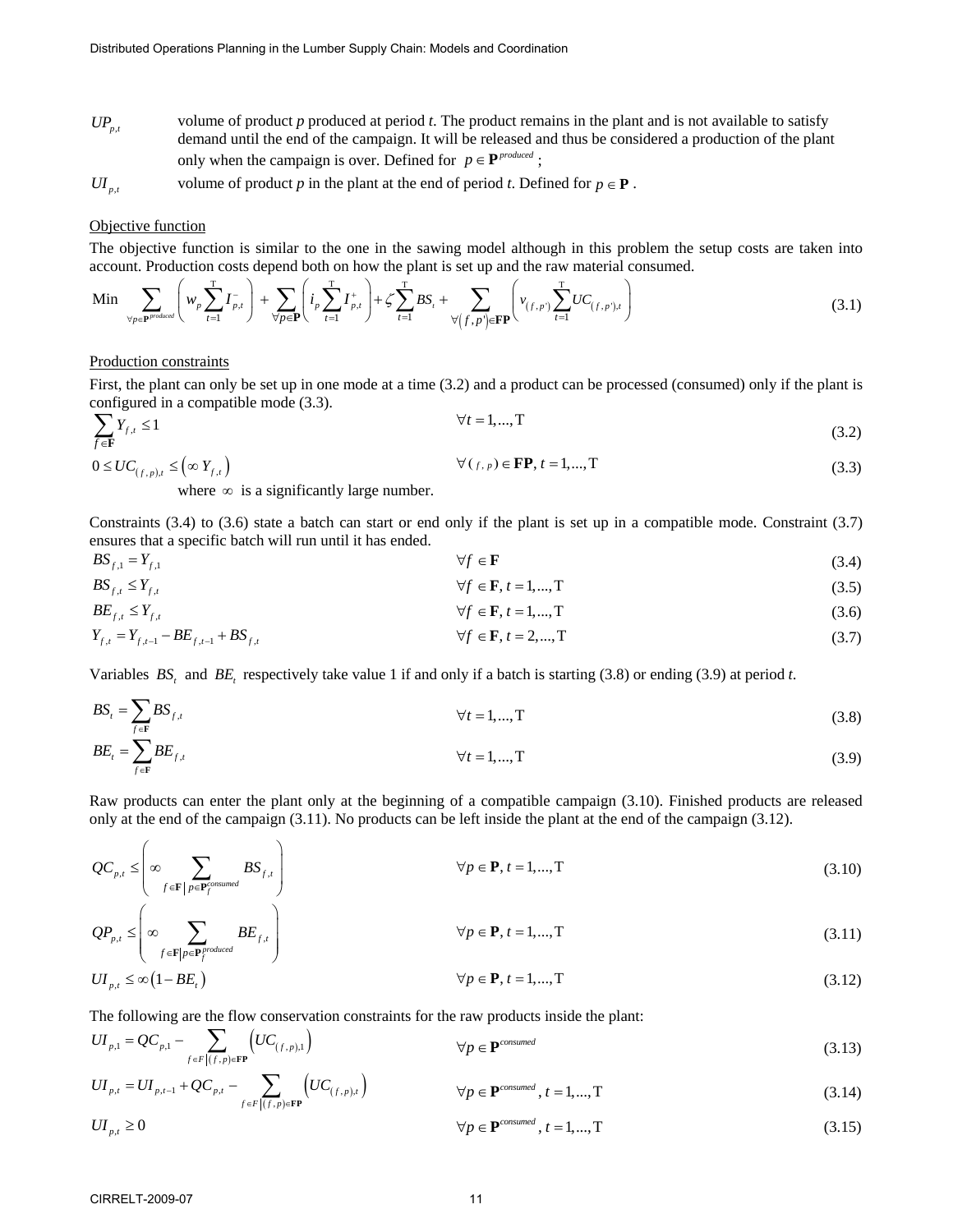- *UP<sub>p,t</sub>* volume of product *p* produced at period *t*. The product remains in the plant and is not available to satisfy demand until the end of the campaign. It will be released and thus be considered a production of the plant only when the campaign is over. Defined for  $p \in \mathbf{P}^{produced}$ ;
- *UI*<sub>*p*,*t*</sub> volume of product *p* in the plant at the end of period *t*. Defined for  $p \in \mathbf{P}$ .

#### Objective function

The objective function is similar to the one in the sawing model although in this problem the setup costs are taken into account. Production costs depend both on how the plant is set up and the raw material consumed.

Min 
$$
\sum_{\forall p \in \mathbf{P}^{produced}} \left( w_p \sum_{t=1}^T I_{p,t}^-\right) + \sum_{\forall p \in \mathbf{P}} \left( i_p \sum_{t=1}^T I_{p,t}^+\right) + \zeta \sum_{t=1}^T BS_t + \sum_{\forall (f,p') \in \mathbf{FP}} \left( v_{(f,p')} \sum_{t=1}^T UC_{(f,p')t}\right)
$$
 (3.1)

#### Production constraints

First, the plant can only be set up in one mode at a time (3.2) and a product can be processed (consumed) only if the plant is configured in a compatible mode (3.3).

$$
\sum_{f \in \mathbf{F}} Y_{f,t} \le 1 \tag{3.2}
$$

$$
0 \le UC_{(f,p),t} \le (\infty Y_{f,t}) \qquad \qquad \forall (f,p) \in \mathbf{FP}, t = 1,...,T \qquad (3.3)
$$

where  $\infty$  is a significantly large number.

Constraints (3.4) to (3.6) state a batch can start or end only if the plant is set up in a compatible mode. Constraint (3.7) ensures that a specific batch will run until it has ended.

- $BS_{f,1} = Y_{f,1}$  (3.4)
- $BS_{f,t} \le Y_{f,t}$  (3.5)  $BE_{f,t} \le Y_{f,t}$  (3.6)

$$
Y_{f,t} = Y_{f,t-1} - BE_{f,t-1} + BS_{f,t} \qquad \forall f \in \mathbf{F}, t = 2,...,T
$$
\n(3.7)

Variables *BS*, and *BE*, respectively take value 1 if and only if a batch is starting (3.8) or ending (3.9) at period *t*.

$$
BS_t = \sum_{f \in \mathbf{F}} BS_{f,t} \qquad \forall t = 1,...,T
$$
\n
$$
OF \sum_{f \in \mathbf{F}} CF
$$
\n(3.8)

$$
BE_t = \sum_{f \in \mathbf{F}} BE_{f,t} \tag{3.9}
$$

Raw products can enter the plant only at the beginning of a compatible campaign (3.10). Finished products are released only at the end of the campaign (3.11). No products can be left inside the plant at the end of the campaign (3.12).

$$
QC_{p,t} \leq \left(\infty \sum_{f \in \mathbf{F} \mid p \in \mathbf{P}^{\text{consumed}}_f} BS_{f,t}\right) \qquad \forall p \in \mathbf{P}, t = 1,...,T \qquad (3.10)
$$

$$
QP_{p,t} \leq \left(\infty \sum_{f \in \mathbf{F} | p \in \mathbf{P}^{\text{produced}}_{f}} BE_{f,t}\right) \qquad \forall p \in \mathbf{P}, t = 1,...,T \qquad (3.11)
$$

$$
UI_{p,t} \leq \infty \left(1 - BE_t\right) \qquad \forall p \in \mathbf{P}, t = 1,...,T \qquad (3.12)
$$

The following are the flow conservation constraints for the raw products inside the plant:

$$
UI_{p,1} = QC_{p,1} - \sum_{f \in F | (f,p) \in \mathbf{FP}} \left( UC_{(f,p),1}\right) \qquad \qquad \forall p \in \mathbf{P}^{consumed}
$$
\n(3.13)

$$
UI_{p,t} = UI_{p,t-1} + QC_{p,t} - \sum_{f \in F | (f,p) \in \mathbf{FP}} \left( UC_{(f,p),t}\right) \qquad \forall p \in \mathbf{P}^{consumed}, t = 1,...,T
$$
\n(3.14)

$$
\forall p \in \mathbf{P}^{\text{consumed}}, t = 1, ..., T \tag{3.15}
$$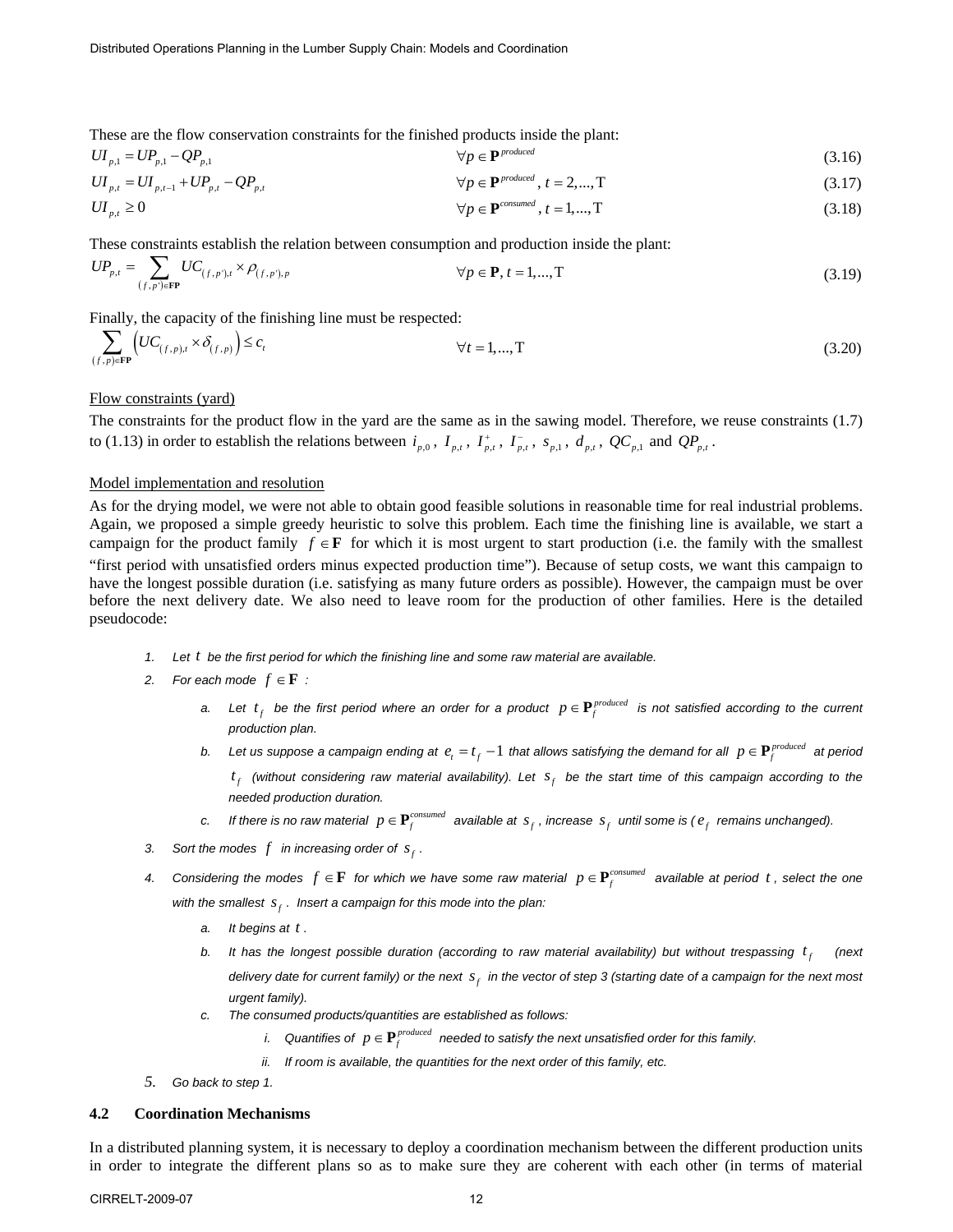These are the flow conservation constraints for the finished products inside the plant:

$$
UI_{p,1} = UP_{p,1} - QP_{p,1} \tag{3.16}
$$

$$
UI_{p,t} = UI_{p,t-1} + UP_{p,t} - QP_{p,t}
$$
\n
$$
\forall p \in \mathbf{P}^{produced}, t = 2,...,T
$$
\n(3.17)

$$
UI_{p,t} \ge 0 \qquad \qquad \forall p \in \mathbf{P}^{consumed}, t = 1,...,T \qquad (3.18)
$$

These constraints establish the relation between consumption and production inside the plant:

$$
UP_{p,t} = \sum_{(f,p') \in \mathbf{FP}} UC_{(f,p'),t} \times \rho_{(f,p'),p} \qquad \forall p \in \mathbf{P}, t = 1,...,T
$$
\n(3.19)

Finally, the capacity of the finishing line must be respected:

$$
\sum_{(f,p)\in\mathbf{FP}} \left( UC_{(f,p),t} \times \delta_{(f,p)}\right) \le c_t \qquad \forall t = 1,...,T \tag{3.20}
$$

#### Flow constraints (yard)

The constraints for the product flow in the yard are the same as in the sawing model. Therefore, we reuse constraints (1.7) to (1.13) in order to establish the relations between  $i_{p,0}$ ,  $I_{p,t}$ ,  $I_{p,t}^+$ ,  $I_{p,t}^-$ ,  $s_{p,1}$ ,  $d_{p,t}$ ,  $QC_{p,1}$  and  $QP_{p,t}$ .

#### Model implementation and resolution

As for the drying model, we were not able to obtain good feasible solutions in reasonable time for real industrial problems. Again, we proposed a simple greedy heuristic to solve this problem. Each time the finishing line is available, we start a campaign for the product family  $f \in \mathbf{F}$  for which it is most urgent to start production (i.e. the family with the smallest "first period with unsatisfied orders minus expected production time"). Because of setup costs, we want this campaign to have the longest possible duration (i.e. satisfying as many future orders as possible). However, the campaign must be over before the next delivery date. We also need to leave room for the production of other families. Here is the detailed pseudocode:

- *1. Let t be the first period for which the finishing line and some raw material are available.*
- *2.* For each mode  $f \in \mathbf{F}$  :
	- a. Let  $t_f$  be the first period where an order for a product  $p \in \mathbf{P}_f^{produced}$  is not satisfied according to the current *production plan.*
	- *b.* Let us suppose a campaign ending at  $e_i = t_f 1$  that allows satisfying the demand for all  $p \in \mathbf{P}_f^{produced}$  at period  $t_f$  (without considering raw material availability). Let  $s_f$  be the start time of this campaign according to the *needed production duration.*
	- c. If there is no raw material  $p \in \mathbf{P}_f^{constant}$  available at  $s_f$ , increase  $s_f$  until some is ( $e_f$  remains unchanged).
- 3. Sort the modes  $f$  in increasing order of  $s_f$ .
- *4.* Considering the modes  $f \in \mathbf{F}$  for which we have some raw material  $p \in \mathbf{P}_f^{constant}$  available at period t, select the one *with the smallest <sup>f</sup> s . Insert a campaign for this mode into the plan:* 
	- *a. It begins at t .*
	- *b.* It has the longest possible duration (according to raw material availability) but without trespassing  $t<sub>f</sub>$  (next *delivery date for current family) or the next <sup>f</sup> s in the vector of step 3 (starting date of a campaign for the next most urgent family).*
	- *c. The consumed products/quantities are established as follows:* 
		- *i.* Quantifies of  $p \in \mathbf{P}_f^{produced}$  needed to satisfy the next unsatisfied order for this family.
		- *ii. If room is available, the quantities for the next order of this family, etc.*
- *5. Go back to step 1.*

#### **4.2 Coordination Mechanisms**

In a distributed planning system, it is necessary to deploy a coordination mechanism between the different production units in order to integrate the different plans so as to make sure they are coherent with each other (in terms of material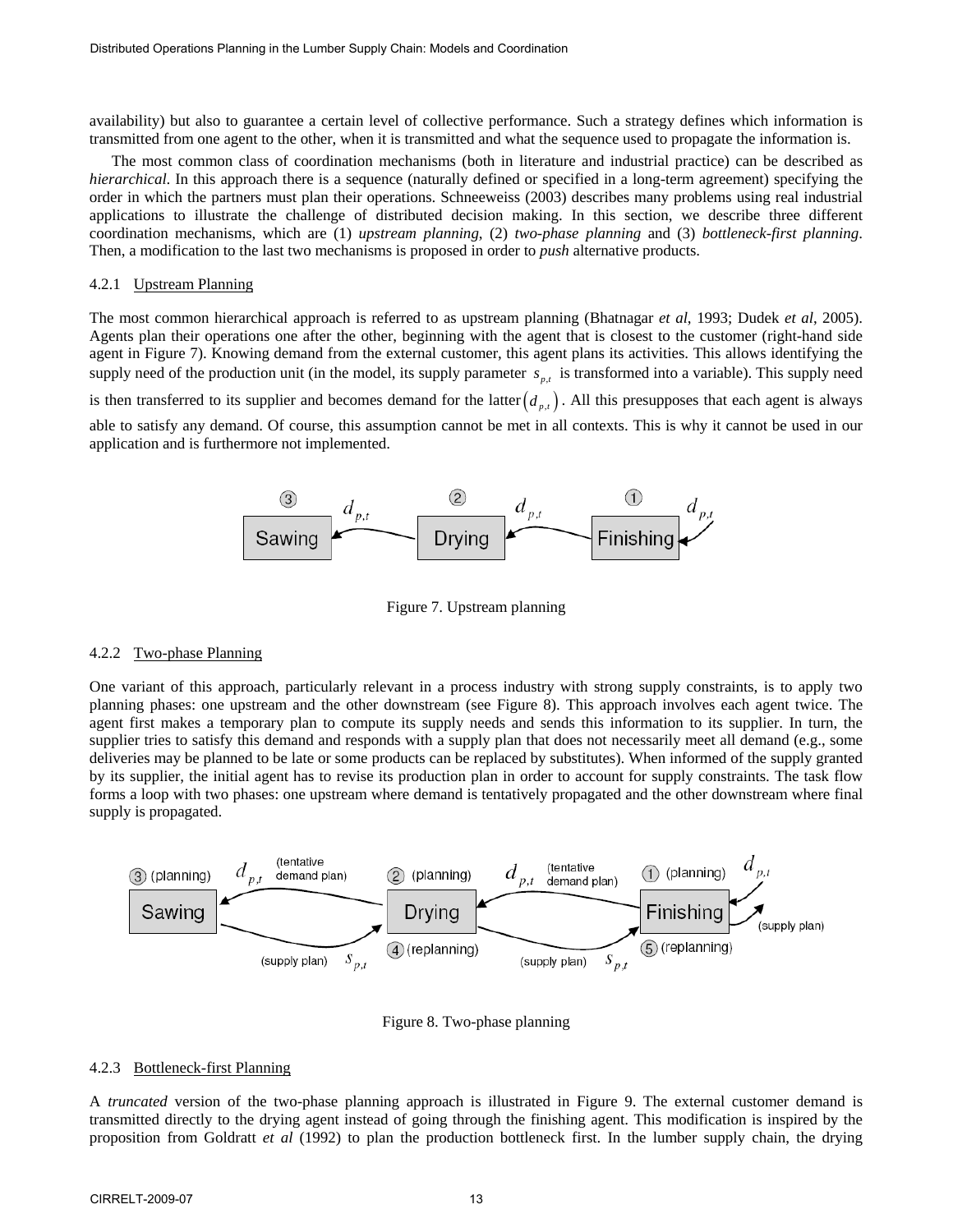availability) but also to guarantee a certain level of collective performance. Such a strategy defines which information is transmitted from one agent to the other, when it is transmitted and what the sequence used to propagate the information is.

The most common class of coordination mechanisms (both in literature and industrial practice) can be described as *hierarchical*. In this approach there is a sequence (naturally defined or specified in a long-term agreement) specifying the order in which the partners must plan their operations. Schneeweiss (2003) describes many problems using real industrial applications to illustrate the challenge of distributed decision making. In this section, we describe three different coordination mechanisms, which are (1) *upstream planning*, (2) *two-phase planning* and (3) *bottleneck-first planning*. Then, a modification to the last two mechanisms is proposed in order to *push* alternative products.

#### 4.2.1 Upstream Planning

The most common hierarchical approach is referred to as upstream planning (Bhatnagar *et al*, 1993; Dudek *et al*, 2005). Agents plan their operations one after the other, beginning with the agent that is closest to the customer (right-hand side agent in Figure 7). Knowing demand from the external customer, this agent plans its activities. This allows identifying the supply need of the production unit (in the model, its supply parameter  $s_{p,t}$  is transformed into a variable). This supply need

is then transferred to its supplier and becomes demand for the latter $(d_{p,t})$ . All this presupposes that each agent is always

able to satisfy any demand. Of course, this assumption cannot be met in all contexts. This is why it cannot be used in our application and is furthermore not implemented.



Figure 7. Upstream planning

#### 4.2.2 Two-phase Planning

One variant of this approach, particularly relevant in a process industry with strong supply constraints, is to apply two planning phases: one upstream and the other downstream (see Figure 8). This approach involves each agent twice. The agent first makes a temporary plan to compute its supply needs and sends this information to its supplier. In turn, the supplier tries to satisfy this demand and responds with a supply plan that does not necessarily meet all demand (e.g., some deliveries may be planned to be late or some products can be replaced by substitutes). When informed of the supply granted by its supplier, the initial agent has to revise its production plan in order to account for supply constraints. The task flow forms a loop with two phases: one upstream where demand is tentatively propagated and the other downstream where final supply is propagated.



Figure 8. Two-phase planning

#### 4.2.3 Bottleneck-first Planning

A *truncated* version of the two-phase planning approach is illustrated in Figure 9. The external customer demand is transmitted directly to the drying agent instead of going through the finishing agent. This modification is inspired by the proposition from Goldratt *et al* (1992) to plan the production bottleneck first. In the lumber supply chain, the drying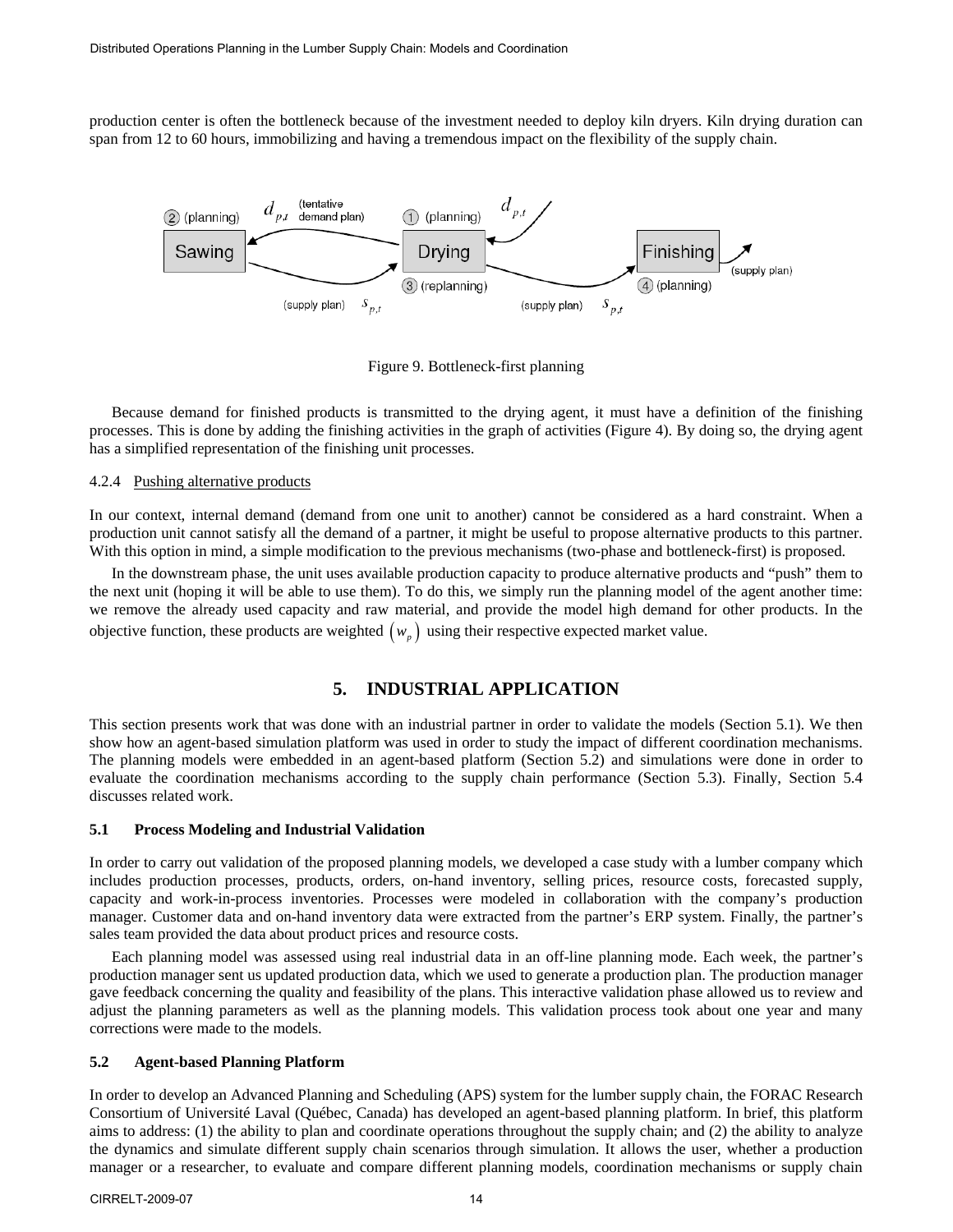production center is often the bottleneck because of the investment needed to deploy kiln dryers. Kiln drying duration can span from 12 to 60 hours, immobilizing and having a tremendous impact on the flexibility of the supply chain.



Figure 9. Bottleneck-first planning

Because demand for finished products is transmitted to the drying agent, it must have a definition of the finishing processes. This is done by adding the finishing activities in the graph of activities (Figure 4). By doing so, the drying agent has a simplified representation of the finishing unit processes.

#### 4.2.4 Pushing alternative products

In our context, internal demand (demand from one unit to another) cannot be considered as a hard constraint. When a production unit cannot satisfy all the demand of a partner, it might be useful to propose alternative products to this partner. With this option in mind, a simple modification to the previous mechanisms (two-phase and bottleneck-first) is proposed.

In the downstream phase, the unit uses available production capacity to produce alternative products and "push" them to the next unit (hoping it will be able to use them). To do this, we simply run the planning model of the agent another time: we remove the already used capacity and raw material, and provide the model high demand for other products. In the objective function, these products are weighted  $(w<sub>n</sub>)$  using their respective expected market value.

## **5. INDUSTRIAL APPLICATION**

This section presents work that was done with an industrial partner in order to validate the models (Section 5.1). We then show how an agent-based simulation platform was used in order to study the impact of different coordination mechanisms. The planning models were embedded in an agent-based platform (Section 5.2) and simulations were done in order to evaluate the coordination mechanisms according to the supply chain performance (Section 5.3). Finally, Section 5.4 discusses related work.

#### **5.1 Process Modeling and Industrial Validation**

In order to carry out validation of the proposed planning models, we developed a case study with a lumber company which includes production processes, products, orders, on-hand inventory, selling prices, resource costs, forecasted supply, capacity and work-in-process inventories. Processes were modeled in collaboration with the company's production manager. Customer data and on-hand inventory data were extracted from the partner's ERP system. Finally, the partner's sales team provided the data about product prices and resource costs.

Each planning model was assessed using real industrial data in an off-line planning mode. Each week, the partner's production manager sent us updated production data, which we used to generate a production plan. The production manager gave feedback concerning the quality and feasibility of the plans. This interactive validation phase allowed us to review and adjust the planning parameters as well as the planning models. This validation process took about one year and many corrections were made to the models.

#### **5.2 Agent-based Planning Platform**

In order to develop an Advanced Planning and Scheduling (APS) system for the lumber supply chain, the FORAC Research Consortium of Université Laval (Québec, Canada) has developed an agent-based planning platform. In brief, this platform aims to address: (1) the ability to plan and coordinate operations throughout the supply chain; and (2) the ability to analyze the dynamics and simulate different supply chain scenarios through simulation. It allows the user, whether a production manager or a researcher, to evaluate and compare different planning models, coordination mechanisms or supply chain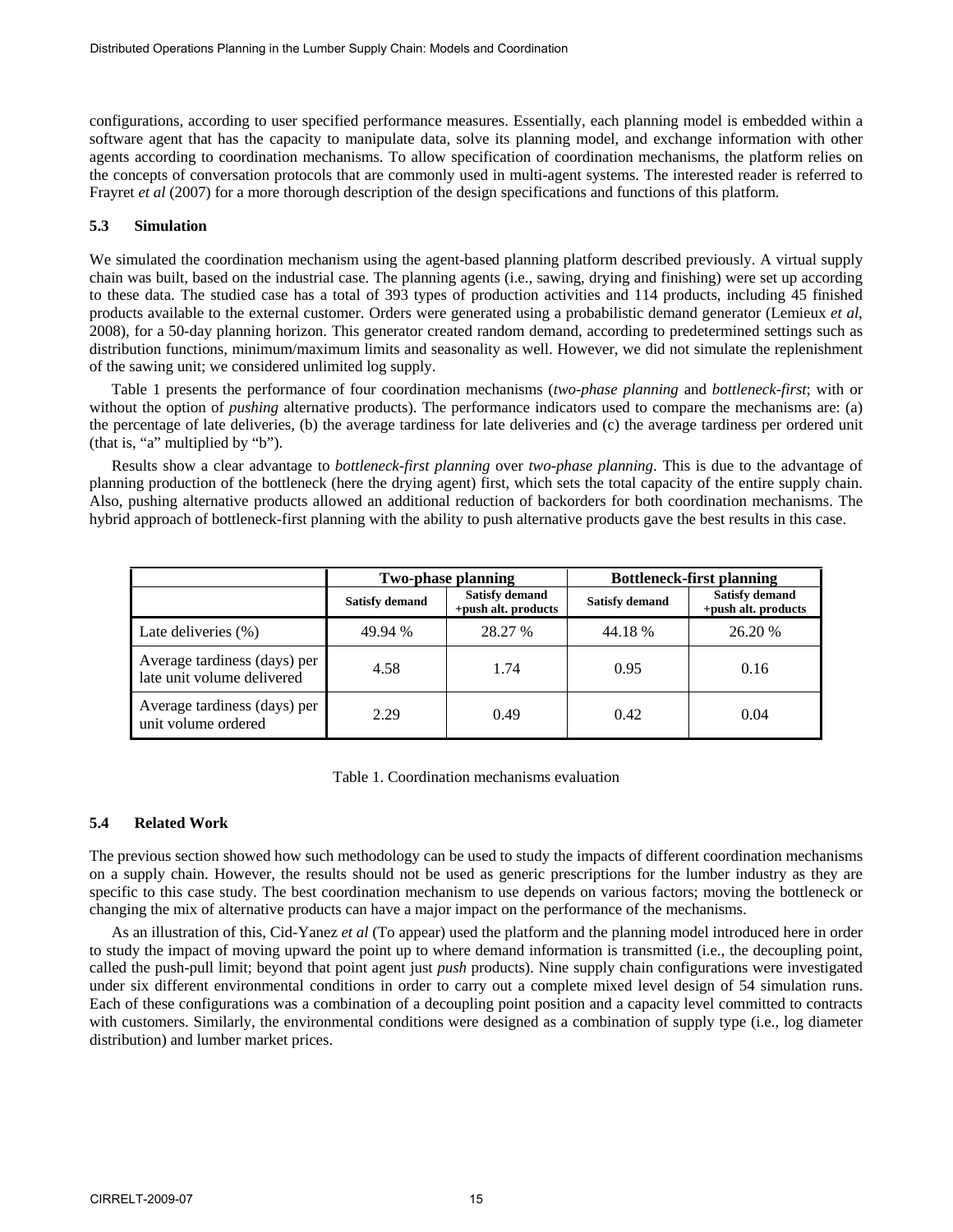configurations, according to user specified performance measures. Essentially, each planning model is embedded within a software agent that has the capacity to manipulate data, solve its planning model, and exchange information with other agents according to coordination mechanisms. To allow specification of coordination mechanisms, the platform relies on the concepts of conversation protocols that are commonly used in multi-agent systems. The interested reader is referred to Frayret *et al* (2007) for a more thorough description of the design specifications and functions of this platform.

#### **5.3 Simulation**

We simulated the coordination mechanism using the agent-based planning platform described previously. A virtual supply chain was built, based on the industrial case. The planning agents (i.e., sawing, drying and finishing) were set up according to these data. The studied case has a total of 393 types of production activities and 114 products, including 45 finished products available to the external customer. Orders were generated using a probabilistic demand generator (Lemieux *et al*, 2008), for a 50-day planning horizon. This generator created random demand, according to predetermined settings such as distribution functions, minimum/maximum limits and seasonality as well. However, we did not simulate the replenishment of the sawing unit; we considered unlimited log supply.

Table 1 presents the performance of four coordination mechanisms (*two-phase planning* and *bottleneck-first*; with or without the option of *pushing* alternative products). The performance indicators used to compare the mechanisms are: (a) the percentage of late deliveries, (b) the average tardiness for late deliveries and (c) the average tardiness per ordered unit (that is, "a" multiplied by "b").

Results show a clear advantage to *bottleneck-first planning* over *two-phase planning*. This is due to the advantage of planning production of the bottleneck (here the drying agent) first, which sets the total capacity of the entire supply chain. Also, pushing alternative products allowed an additional reduction of backorders for both coordination mechanisms. The hybrid approach of bottleneck-first planning with the ability to push alternative products gave the best results in this case.

|                                                            |                       | Two-phase planning                           | <b>Bottleneck-first planning</b> |                                              |  |
|------------------------------------------------------------|-----------------------|----------------------------------------------|----------------------------------|----------------------------------------------|--|
|                                                            | <b>Satisfy demand</b> | <b>Satisfy demand</b><br>+push alt. products | <b>Satisfy demand</b>            | <b>Satisfy demand</b><br>+push alt. products |  |
| Late deliveries (%)                                        | 49.94 %               | 28.27 %                                      | 44.18 %                          | 26.20 %                                      |  |
| Average tardiness (days) per<br>late unit volume delivered | 4.58                  | 1.74                                         | 0.95                             | 0.16                                         |  |
| Average tardiness (days) per<br>unit volume ordered        | 2.29                  | 0.49                                         | 0.42                             | 0.04                                         |  |

#### Table 1. Coordination mechanisms evaluation

## **5.4 Related Work**

The previous section showed how such methodology can be used to study the impacts of different coordination mechanisms on a supply chain. However, the results should not be used as generic prescriptions for the lumber industry as they are specific to this case study. The best coordination mechanism to use depends on various factors; moving the bottleneck or changing the mix of alternative products can have a major impact on the performance of the mechanisms.

As an illustration of this, Cid-Yanez *et al* (To appear) used the platform and the planning model introduced here in order to study the impact of moving upward the point up to where demand information is transmitted (i.e., the decoupling point, called the push-pull limit; beyond that point agent just *push* products). Nine supply chain configurations were investigated under six different environmental conditions in order to carry out a complete mixed level design of 54 simulation runs. Each of these configurations was a combination of a decoupling point position and a capacity level committed to contracts with customers. Similarly, the environmental conditions were designed as a combination of supply type (i.e., log diameter distribution) and lumber market prices.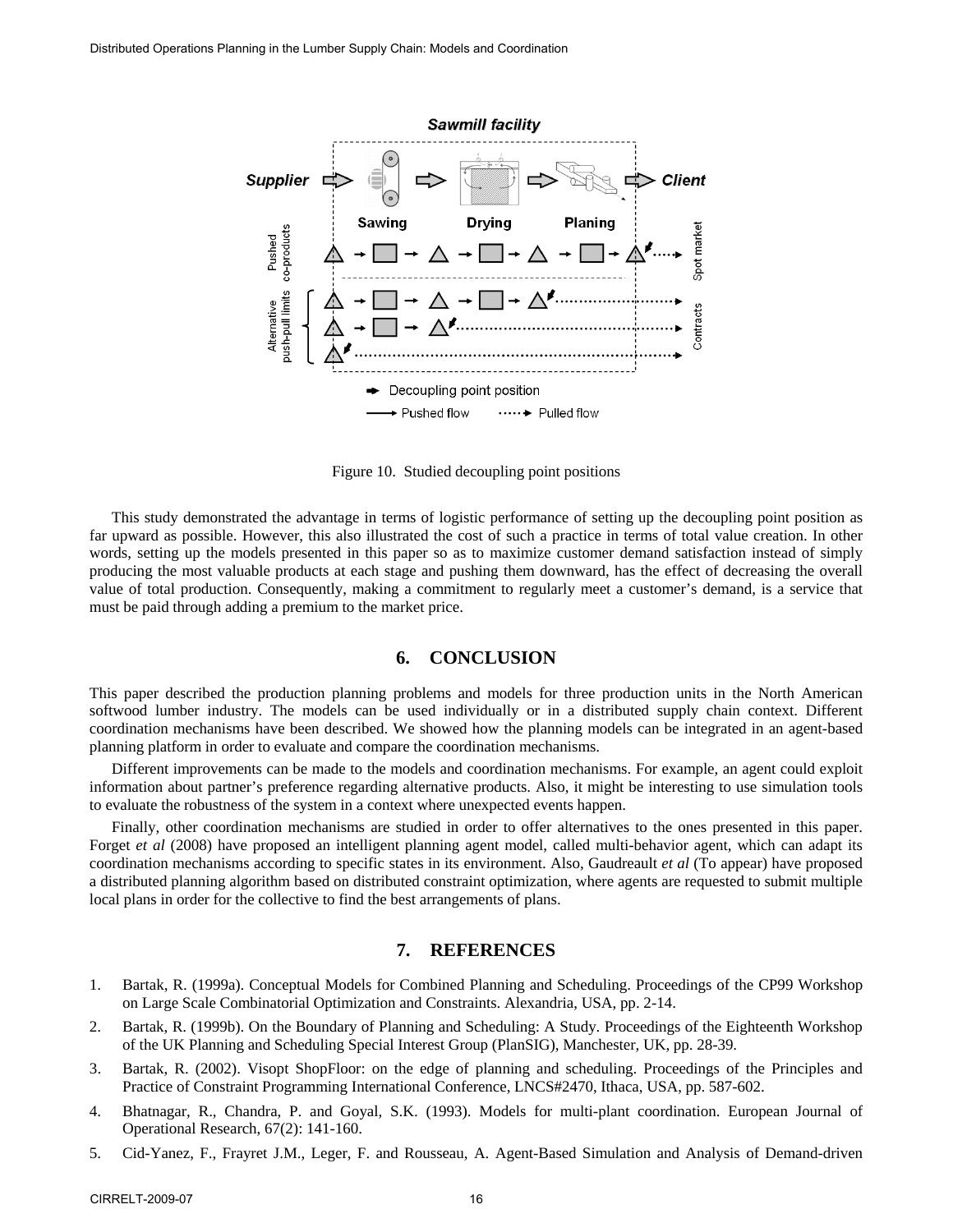

Figure 10. Studied decoupling point positions

This study demonstrated the advantage in terms of logistic performance of setting up the decoupling point position as far upward as possible. However, this also illustrated the cost of such a practice in terms of total value creation. In other words, setting up the models presented in this paper so as to maximize customer demand satisfaction instead of simply producing the most valuable products at each stage and pushing them downward, has the effect of decreasing the overall value of total production. Consequently, making a commitment to regularly meet a customer's demand, is a service that must be paid through adding a premium to the market price.

### **6. CONCLUSION**

This paper described the production planning problems and models for three production units in the North American softwood lumber industry. The models can be used individually or in a distributed supply chain context. Different coordination mechanisms have been described. We showed how the planning models can be integrated in an agent-based planning platform in order to evaluate and compare the coordination mechanisms.

Different improvements can be made to the models and coordination mechanisms. For example, an agent could exploit information about partner's preference regarding alternative products. Also, it might be interesting to use simulation tools to evaluate the robustness of the system in a context where unexpected events happen.

Finally, other coordination mechanisms are studied in order to offer alternatives to the ones presented in this paper. Forget *et al* (2008) have proposed an intelligent planning agent model, called multi-behavior agent, which can adapt its coordination mechanisms according to specific states in its environment. Also, Gaudreault *et al* (To appear) have proposed a distributed planning algorithm based on distributed constraint optimization, where agents are requested to submit multiple local plans in order for the collective to find the best arrangements of plans.

## **7. REFERENCES**

- 1. Bartak, R. (1999a). Conceptual Models for Combined Planning and Scheduling. Proceedings of the CP99 Workshop on Large Scale Combinatorial Optimization and Constraints. Alexandria, USA, pp. 2-14.
- 2. Bartak, R. (1999b). On the Boundary of Planning and Scheduling: A Study. Proceedings of the Eighteenth Workshop of the UK Planning and Scheduling Special Interest Group (PlanSIG), Manchester, UK, pp. 28-39.
- 3. Bartak, R. (2002). Visopt ShopFloor: on the edge of planning and scheduling. Proceedings of the Principles and Practice of Constraint Programming International Conference, LNCS#2470, Ithaca, USA, pp. 587-602.
- 4. Bhatnagar, R., Chandra, P. and Goyal, S.K. (1993). Models for multi-plant coordination. European Journal of Operational Research, 67(2): 141-160.
- 5. Cid-Yanez, F., Frayret J.M., Leger, F. and Rousseau, A. Agent-Based Simulation and Analysis of Demand-driven